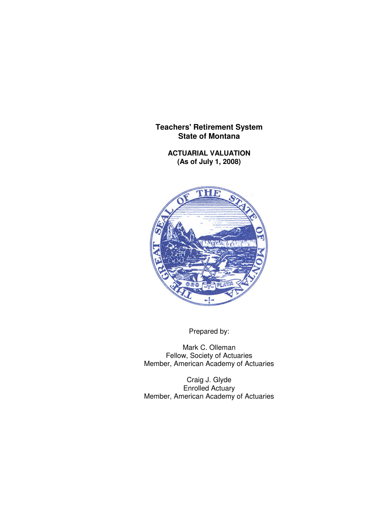**ACTUARIAL VALUATION (As of July 1, 2008)**



Prepared by:

Mark C. Olleman Fellow, Society of Actuaries Member, American Academy of Actuaries

Craig J. Glyde Enrolled Actuary Member, American Academy of Actuaries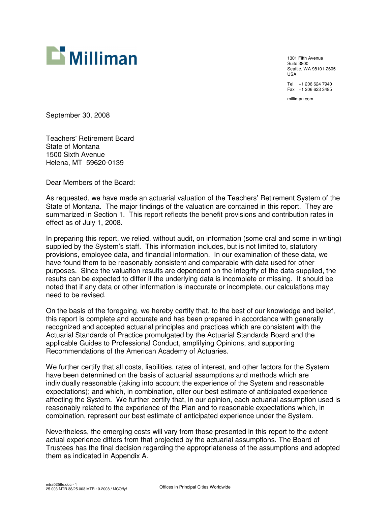

1301 Fifth Avenue Suite 3800 Seattle, WA 98101-2605 USA Tel +1 206 624 7940 Fax +1 206 623 3485

milliman.com

September 30, 2008

Teachers' Retirement Board State of Montana 1500 Sixth Avenue Helena, MT 59620-0139

Dear Members of the Board:

As requested, we have made an actuarial valuation of the Teachers' Retirement System of the State of Montana. The major findings of the valuation are contained in this report. They are summarized in Section 1. This report reflects the benefit provisions and contribution rates in effect as of July 1, 2008.

In preparing this report, we relied, without audit, on information (some oral and some in writing) supplied by the System's staff. This information includes, but is not limited to, statutory provisions, employee data, and financial information. In our examination of these data, we have found them to be reasonably consistent and comparable with data used for other purposes. Since the valuation results are dependent on the integrity of the data supplied, the results can be expected to differ if the underlying data is incomplete or missing. It should be noted that if any data or other information is inaccurate or incomplete, our calculations may need to be revised.

On the basis of the foregoing, we hereby certify that, to the best of our knowledge and belief, this report is complete and accurate and has been prepared in accordance with generally recognized and accepted actuarial principles and practices which are consistent with the Actuarial Standards of Practice promulgated by the Actuarial Standards Board and the applicable Guides to Professional Conduct, amplifying Opinions, and supporting Recommendations of the American Academy of Actuaries.

We further certify that all costs, liabilities, rates of interest, and other factors for the System have been determined on the basis of actuarial assumptions and methods which are individually reasonable (taking into account the experience of the System and reasonable expectations); and which, in combination, offer our best estimate of anticipated experience affecting the System. We further certify that, in our opinion, each actuarial assumption used is reasonably related to the experience of the Plan and to reasonable expectations which, in combination, represent our best estimate of anticipated experience under the System.

Nevertheless, the emerging costs will vary from those presented in this report to the extent actual experience differs from that projected by the actuarial assumptions. The Board of Trustees has the final decision regarding the appropriateness of the assumptions and adopted them as indicated in Appendix A.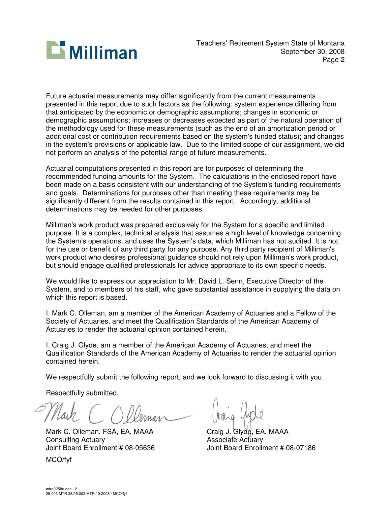

Future actuarial measurements may differ significantly from the current measurements presented in this report due to such factors as the following: system experience differing from that anticipated by the economic or demographic assumptions; changes in economic or demographic assumptions; increases or decreases expected as part of the natural operation of the methodology used for these measurements (such as the end of an amortization period or additional cost or contribution requirements based on the system's funded status); and changes in the system's provisions or applicable law. Due to the limited scope of our assignment, we did not perform an analysis of the potential range of future measurements.

Actuarial computations presented in this report are for purposes of determining the recommended funding amounts for the System. The calculations in the enclosed report have been made on a basis consistent with our understanding of the System's funding requirements and goals. Determinations for purposes other than meeting these requirements may be significantly different from the results contained in this report. Accordingly, additional determinations may be needed for other purposes.

Milliman's work product was prepared exclusively for the System for a specific and limited purpose. It is a complex, technical analysis that assumes a high level of knowledge concerning the System's operations, and uses the System's data, which Milliman has not audited. It is not for the use or benefit of any third party for any purpose. Any third party recipient of Milliman's work product who desires professional guidance should not rely upon Milliman's work product, but should engage qualified professionals for advice appropriate to its own specific needs.

We would like to express our appreciation to Mr. David L. Senn, Executive Director of the System, and to members of his staff, who gave substantial assistance in supplying the data on which this report is based.

I, Mark C. Olleman, am a member of the American Academy of Actuaries and a Fellow of the Society of Actuaries, and meet the Qualification Standards of the American Academy of Actuaries to render the actuarial opinion contained herein.

I, Craig J. Glyde, am a member of the American Academy of Actuaries, and meet the Qualification Standards of the American Academy of Actuaries to render the actuarial opinion contained herein.

We respectfully submit the following report, and we look forward to discussing it with you.

Respectfully submitted,

Mark C. Olleman, FSA, EA, MAAA Craig J. Glyde, EA, MAAA Consulting Actuary<br>
Joint Board Enrollment # 08-05636 Associate Actuary<br>
Joint Board Enrollment # 08-07186 Joint Board Enrollment # 08-05636

MCO/fyf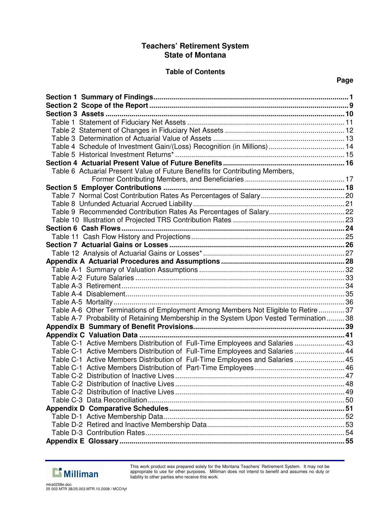## **Table of Contents**

## **Page**

| Table 4 Schedule of Investment Gain/(Loss) Recognition (in Millions)  14              |  |
|---------------------------------------------------------------------------------------|--|
|                                                                                       |  |
|                                                                                       |  |
| Table 6 Actuarial Present Value of Future Benefits for Contributing Members,          |  |
|                                                                                       |  |
|                                                                                       |  |
|                                                                                       |  |
|                                                                                       |  |
|                                                                                       |  |
|                                                                                       |  |
|                                                                                       |  |
|                                                                                       |  |
|                                                                                       |  |
|                                                                                       |  |
|                                                                                       |  |
|                                                                                       |  |
|                                                                                       |  |
|                                                                                       |  |
|                                                                                       |  |
|                                                                                       |  |
| Table A-6 Other Terminations of Employment Among Members Not Eligible to Retire  37   |  |
| Table A-7 Probability of Retaining Membership in the System Upon Vested Termination38 |  |
|                                                                                       |  |
|                                                                                       |  |
| Table C-1 Active Members Distribution of Full-Time Employees and Salaries  43         |  |
| Table C-1 Active Members Distribution of Full-Time Employees and Salaries  44         |  |
| Table C-1 Active Members Distribution of Full-Time Employees and Salaries  45         |  |
|                                                                                       |  |
| Table C-2 Distribution of Inactive Lives                                              |  |
|                                                                                       |  |
|                                                                                       |  |
|                                                                                       |  |
|                                                                                       |  |
|                                                                                       |  |
|                                                                                       |  |
|                                                                                       |  |
|                                                                                       |  |



This work product was prepared solely for the Montana Teachers' Retirement System. It may not be appropriate to use for other purposes. Milliman does not intend to benefit and assumes no duty or liability to other parties who receive this work.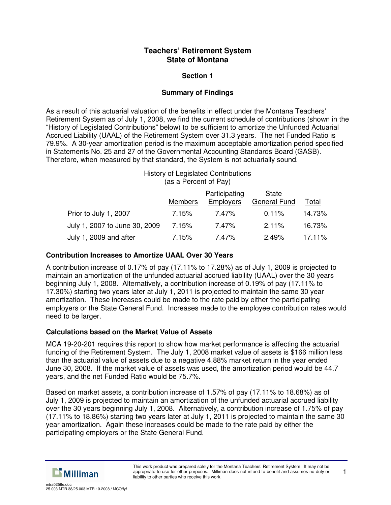## **Section 1**

## **Summary of Findings**

As a result of this actuarial valuation of the benefits in effect under the Montana Teachers' Retirement System as of July 1, 2008, we find the current schedule of contributions (shown in the "History of Legislated Contributions" below) to be sufficient to amortize the Unfunded Actuarial Accrued Liability (UAAL) of the Retirement System over 31.3 years. The net Funded Ratio is 79.9%. A 30-year amortization period is the maximum acceptable amortization period specified in Statements No. 25 and 27 of the Governmental Accounting Standards Board (GASB). Therefore, when measured by that standard, the System is not actuarially sound.

#### History of Legislated Contributions (as a Percent of Pay)

|                               | <b>Members</b> | Participating<br><b>Employers</b> | State<br>General Fund | Total         |
|-------------------------------|----------------|-----------------------------------|-----------------------|---------------|
| Prior to July 1, 2007         | 7.15%          | 7.47%                             | $0.11\%$              | 14.73%        |
| July 1, 2007 to June 30, 2009 | 7.15%          | 7.47%                             | $2.11\%$              | 16.73%        |
| July 1, 2009 and after        | 7.15%          | 7.47%                             | 2.49%                 | <u>17.11%</u> |

### **Contribution Increases to Amortize UAAL Over 30 Years**

A contribution increase of 0.17% of pay (17.11% to 17.28%) as of July 1, 2009 is projected to maintain an amortization of the unfunded actuarial accrued liability (UAAL) over the 30 years beginning July 1, 2008. Alternatively, a contribution increase of 0.19% of pay (17.11% to 17.30%) starting two years later at July 1, 2011 is projected to maintain the same 30 year amortization. These increases could be made to the rate paid by either the participating employers or the State General Fund. Increases made to the employee contribution rates would need to be larger.

## **Calculations based on the Market Value of Assets**

MCA 19-20-201 requires this report to show how market performance is affecting the actuarial funding of the Retirement System. The July 1, 2008 market value of assets is \$166 million less than the actuarial value of assets due to a negative 4.88% market return in the year ended June 30, 2008. If the market value of assets was used, the amortization period would be 44.7 years, and the net Funded Ratio would be 75.7%.

Based on market assets, a contribution increase of 1.57% of pay (17.11% to 18.68%) as of July 1, 2009 is projected to maintain an amortization of the unfunded actuarial accrued liability over the 30 years beginning July 1, 2008. Alternatively, a contribution increase of 1.75% of pay (17.11% to 18.86%) starting two years later at July 1, 2011 is projected to maintain the same 30 year amortization. Again these increases could be made to the rate paid by either the participating employers or the State General Fund.



1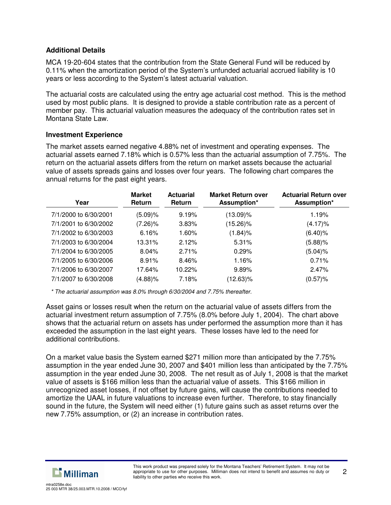## **Additional Details**

MCA 19-20-604 states that the contribution from the State General Fund will be reduced by 0.11% when the amortization period of the System's unfunded actuarial accrued liability is 10 years or less according to the System's latest actuarial valuation.

The actuarial costs are calculated using the entry age actuarial cost method. This is the method used by most public plans. It is designed to provide a stable contribution rate as a percent of member pay. This actuarial valuation measures the adequacy of the contribution rates set in Montana State Law.

#### **Investment Experience**

The market assets earned negative 4.88% net of investment and operating expenses. The actuarial assets earned 7.18% which is 0.57% less than the actuarial assumption of 7.75%. The return on the actuarial assets differs from the return on market assets because the actuarial value of assets spreads gains and losses over four years. The following chart compares the annual returns for the past eight years.

| Year                  | <b>Market</b><br><b>Return</b> | <b>Actuarial</b><br><b>Return</b> | <b>Market Return over</b><br>Assumption* | <b>Actuarial Return over</b><br>Assumption* |
|-----------------------|--------------------------------|-----------------------------------|------------------------------------------|---------------------------------------------|
| 7/1/2000 to 6/30/2001 | (5.09)%                        | 9.19%                             | $(13.09)\%$                              | 1.19%                                       |
| 7/1/2001 to 6/30/2002 | $(7.26)\%$                     | 3.83%                             | $(15.26)\%$                              | $(4.17)\%$                                  |
| 7/1/2002 to 6/30/2003 | 6.16%                          | $1.60\%$                          | (1.84)%                                  | $(6.40)$ %                                  |
| 7/1/2003 to 6/30/2004 | 13.31%                         | 2.12%                             | 5.31%                                    | $(5.88)\%$                                  |
| 7/1/2004 to 6/30/2005 | 8.04%                          | 2.71%                             | 0.29%                                    | (5.04)%                                     |
| 7/1/2005 to 6/30/2006 | 8.91%                          | 8.46%                             | 1.16%                                    | 0.71%                                       |
| 7/1/2006 to 6/30/2007 | 17.64%                         | 10.22%                            | 9.89%                                    | 2.47%                                       |
| 7/1/2007 to 6/30/2008 | $(4.88)\%$                     | 7.18%                             | $(12.63)\%$                              | (0.57)%                                     |

*\* The actuarial assumption was 8.0% through 6/30/2004 and 7.75% thereafter.*

Asset gains or losses result when the return on the actuarial value of assets differs from the actuarial investment return assumption of 7.75% (8.0% before July 1, 2004). The chart above shows that the actuarial return on assets has under performed the assumption more than it has exceeded the assumption in the last eight years. These losses have led to the need for additional contributions.

On a market value basis the System earned \$271 million more than anticipated by the 7.75% assumption in the year ended June 30, 2007 and \$401 million less than anticipated by the 7.75% assumption in the year ended June 30, 2008. The net result as of July 1, 2008 is that the market value of assets is \$166 million less than the actuarial value of assets. This \$166 million in unrecognized asset losses, if not offset by future gains, will cause the contributions needed to amortize the UAAL in future valuations to increase even further. Therefore, to stay financially sound in the future, the System will need either (1) future gains such as asset returns over the new 7.75% assumption, or (2) an increase in contribution rates.



25 003 MTR 38/25.003.MTR.10.2008 / MCO/fyf

mtra0258e.doc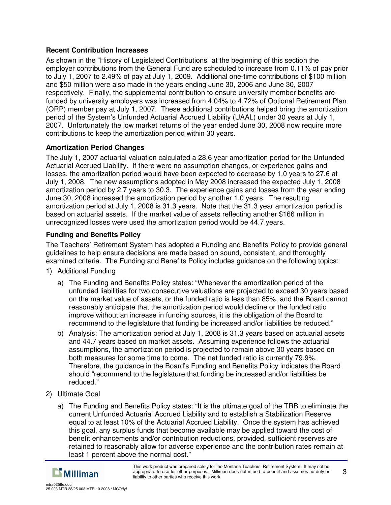## **Recent Contribution Increases**

As shown in the "History of Legislated Contributions" at the beginning of this section the employer contributions from the General Fund are scheduled to increase from 0.11% of pay prior to July 1, 2007 to 2.49% of pay at July 1, 2009. Additional one-time contributions of \$100 million and \$50 million were also made in the years ending June 30, 2006 and June 30, 2007 respectively. Finally, the supplemental contribution to ensure university member benefits are funded by university employers was increased from 4.04% to 4.72% of Optional Retirement Plan (ORP) member pay at July 1, 2007. These additional contributions helped bring the amortization period of the System's Unfunded Actuarial Accrued Liability (UAAL) under 30 years at July 1, 2007. Unfortunately the low market returns of the year ended June 30, 2008 now require more contributions to keep the amortization period within 30 years.

## **Amortization Period Changes**

The July 1, 2007 actuarial valuation calculated a 28.6 year amortization period for the Unfunded Actuarial Accrued Liability. If there were no assumption changes, or experience gains and losses, the amortization period would have been expected to decrease by 1.0 years to 27.6 at July 1, 2008. The new assumptions adopted in May 2008 increased the expected July 1, 2008 amortization period by 2.7 years to 30.3. The experience gains and losses from the year ending June 30, 2008 increased the amortization period by another 1.0 years. The resulting amortization period at July 1, 2008 is 31.3 years. Note that the 31.3 year amortization period is based on actuarial assets. If the market value of assets reflecting another \$166 million in unrecognized losses were used the amortization period would be 44.7 years.

## **Funding and Benefits Policy**

The Teachers' Retirement System has adopted a Funding and Benefits Policy to provide general guidelines to help ensure decisions are made based on sound, consistent, and thoroughly examined criteria. The Funding and Benefits Policy includes guidance on the following topics:

- 1) Additional Funding
	- a) The Funding and Benefits Policy states: "Whenever the amortization period of the unfunded liabilities for two consecutive valuations are projected to exceed 30 years based on the market value of assets, or the funded ratio is less than 85%, and the Board cannot reasonably anticipate that the amortization period would decline or the funded ratio improve without an increase in funding sources, it is the obligation of the Board to recommend to the legislature that funding be increased and/or liabilities be reduced."
	- b) Analysis: The amortization period at July 1, 2008 is 31.3 years based on actuarial assets and 44.7 years based on market assets. Assuming experience follows the actuarial assumptions, the amortization period is projected to remain above 30 years based on both measures for some time to come. The net funded ratio is currently 79.9%. Therefore, the guidance in the Board's Funding and Benefits Policy indicates the Board should "recommend to the legislature that funding be increased and/or liabilities be reduced."
- 2) Ultimate Goal
	- a) The Funding and Benefits Policy states: "It is the ultimate goal of the TRB to eliminate the current Unfunded Actuarial Accrued Liability and to establish a Stabilization Reserve equal to at least 10% of the Actuarial Accrued Liability. Once the system has achieved this goal, any surplus funds that become available may be applied toward the cost of benefit enhancements and/or contribution reductions, provided, sufficient reserves are retained to reasonably allow for adverse experience and the contribution rates remain at least 1 percent above the normal cost."

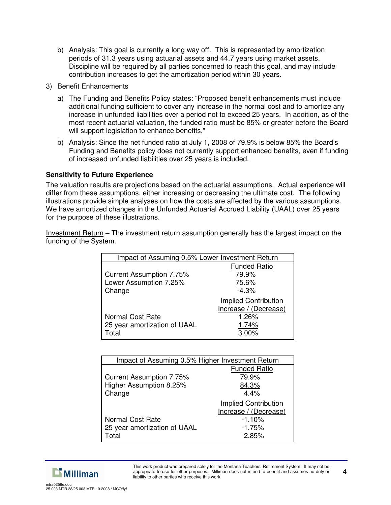- b) Analysis: This goal is currently a long way off. This is represented by amortization periods of 31.3 years using actuarial assets and 44.7 years using market assets. Discipline will be required by all parties concerned to reach this goal, and may include contribution increases to get the amortization period within 30 years.
- 3) Benefit Enhancements
	- a) The Funding and Benefits Policy states: "Proposed benefit enhancements must include additional funding sufficient to cover any increase in the normal cost and to amortize any increase in unfunded liabilities over a period not to exceed 25 years. In addition, as of the most recent actuarial valuation, the funded ratio must be 85% or greater before the Board will support legislation to enhance benefits."
	- b) Analysis: Since the net funded ratio at July 1, 2008 of 79.9% is below 85% the Board's Funding and Benefits policy does not currently support enhanced benefits, even if funding of increased unfunded liabilities over 25 years is included.

## **Sensitivity to Future Experience**

The valuation results are projections based on the actuarial assumptions. Actual experience will differ from these assumptions, either increasing or decreasing the ultimate cost. The following illustrations provide simple analyses on how the costs are affected by the various assumptions. We have amortized changes in the Unfunded Actuarial Accrued Liability (UAAL) over 25 years for the purpose of these illustrations.

Investment Return – The investment return assumption generally has the largest impact on the funding of the System.

|                                 | Impact of Assuming 0.5% Lower Investment Return |  |  |  |  |
|---------------------------------|-------------------------------------------------|--|--|--|--|
|                                 | <b>Funded Ratio</b>                             |  |  |  |  |
| <b>Current Assumption 7.75%</b> | 79.9%                                           |  |  |  |  |
| Lower Assumption 7.25%          | 75.6%                                           |  |  |  |  |
| Change                          | $-4.3%$                                         |  |  |  |  |
|                                 | Implied Contribution                            |  |  |  |  |
|                                 | Increase / (Decrease)                           |  |  |  |  |
| Normal Cost Rate<br>1.26%       |                                                 |  |  |  |  |
| 25 year amortization of UAAL    | 1.74%                                           |  |  |  |  |
| Total                           | 3.00%                                           |  |  |  |  |

| Impact of Assuming 0.5% Higher Investment Return |                       |  |  |  |
|--------------------------------------------------|-----------------------|--|--|--|
|                                                  | <b>Funded Ratio</b>   |  |  |  |
| <b>Current Assumption 7.75%</b>                  | 79.9%                 |  |  |  |
| Higher Assumption 8.25%                          | 84.3%                 |  |  |  |
| Change                                           | 4.4%                  |  |  |  |
|                                                  | Implied Contribution  |  |  |  |
|                                                  | Increase / (Decrease) |  |  |  |
| Normal Cost Rate                                 | $-1.10%$              |  |  |  |
| 25 year amortization of UAAL                     | $-1.75%$              |  |  |  |
| Total                                            | $-2.85%$              |  |  |  |



This work product was prepared solely for the Montana Teachers' Retirement System. It may not be appropriate to use for other purposes. Milliman does not intend to benefit and assumes no duty or liability to other parties who receive this work.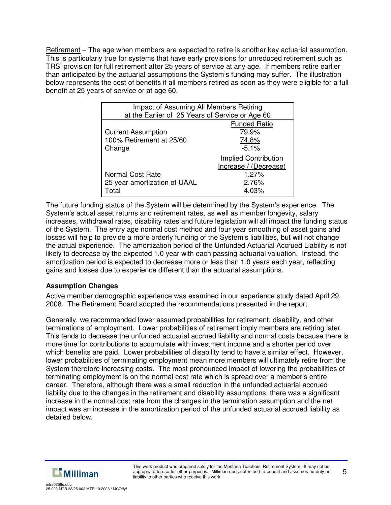Retirement – The age when members are expected to retire is another key actuarial assumption. This is particularly true for systems that have early provisions for unreduced retirement such as TRS' provision for full retirement after 25 years of service at any age. If members retire earlier than anticipated by the actuarial assumptions the System's funding may suffer. The illustration below represents the cost of benefits if all members retired as soon as they were eligible for a full benefit at 25 years of service or at age 60.

| Impact of Assuming All Members Retiring         |  |  |  |  |
|-------------------------------------------------|--|--|--|--|
| at the Earlier of 25 Years of Service or Age 60 |  |  |  |  |
| <b>Funded Ratio</b>                             |  |  |  |  |
| 79.9%                                           |  |  |  |  |
| 74.8%                                           |  |  |  |  |
| $-5.1%$                                         |  |  |  |  |
| Implied Contribution                            |  |  |  |  |
| Increase / (Decrease)                           |  |  |  |  |
| 1.27%                                           |  |  |  |  |
| 2.76%                                           |  |  |  |  |
| 4.03%                                           |  |  |  |  |
|                                                 |  |  |  |  |

The future funding status of the System will be determined by the System's experience. The System's actual asset returns and retirement rates, as well as member longevity, salary increases, withdrawal rates, disability rates and future legislation will all impact the funding status of the System. The entry age normal cost method and four year smoothing of asset gains and losses will help to provide a more orderly funding of the System's liabilities, but will not change the actual experience. The amortization period of the Unfunded Actuarial Accrued Liability is not likely to decrease by the expected 1.0 year with each passing actuarial valuation. Instead, the amortization period is expected to decrease more or less than 1.0 years each year, reflecting gains and losses due to experience different than the actuarial assumptions.

## **Assumption Changes**

Active member demographic experience was examined in our experience study dated April 29, 2008. The Retirement Board adopted the recommendations presented in the report.

Generally, we recommended lower assumed probabilities for retirement, disability, and other terminations of employment. Lower probabilities of retirement imply members are retiring later. This tends to decrease the unfunded actuarial accrued liability and normal costs because there is more time for contributions to accumulate with investment income and a shorter period over which benefits are paid. Lower probabilities of disability tend to have a similar effect. However, lower probabilities of terminating employment mean more members will ultimately retire from the System therefore increasing costs. The most pronounced impact of lowering the probabilities of terminating employment is on the normal cost rate which is spread over a member's entire career. Therefore, although there was a small reduction in the unfunded actuarial accrued liability due to the changes in the retirement and disability assumptions, there was a significant increase in the normal cost rate from the changes in the termination assumption and the net impact was an increase in the amortization period of the unfunded actuarial accrued liability as detailed below.



5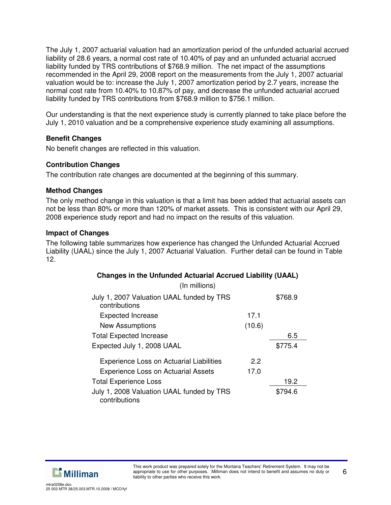The July 1, 2007 actuarial valuation had an amortization period of the unfunded actuarial accrued liability of 28.6 years, a normal cost rate of 10.40% of pay and an unfunded actuarial accrued liability funded by TRS contributions of \$768.9 million. The net impact of the assumptions recommended in the April 29, 2008 report on the measurements from the July 1, 2007 actuarial valuation would be to: increase the July 1, 2007 amortization period by 2.7 years, increase the normal cost rate from 10.40% to 10.87% of pay, and decrease the unfunded actuarial accrued liability funded by TRS contributions from \$768.9 million to \$756.1 million.

Our understanding is that the next experience study is currently planned to take place before the July 1, 2010 valuation and be a comprehensive experience study examining all assumptions.

## **Benefit Changes**

No benefit changes are reflected in this valuation.

#### **Contribution Changes**

The contribution rate changes are documented at the beginning of this summary.

#### **Method Changes**

The only method change in this valuation is that a limit has been added that actuarial assets can not be less than 80% or more than 120% of market assets. This is consistent with our April 29, 2008 experience study report and had no impact on the results of this valuation.

#### **Impact of Changes**

The following table summarizes how experience has changed the Unfunded Actuarial Accrued Liability (UAAL) since the July 1, 2007 Actuarial Valuation. Further detail can be found in Table 12.

| <b>Changes in the Unfunded Actuarial Accrued Liability (UAAL)</b> |        |         |  |  |
|-------------------------------------------------------------------|--------|---------|--|--|
| (In millions)                                                     |        |         |  |  |
| July 1, 2007 Valuation UAAL funded by TRS<br>contributions        |        | \$768.9 |  |  |
| <b>Expected Increase</b>                                          | 17.1   |         |  |  |
| <b>New Assumptions</b>                                            | (10.6) |         |  |  |
| <b>Total Expected Increase</b>                                    |        | 6.5     |  |  |
| Expected July 1, 2008 UAAL                                        |        | \$775.4 |  |  |
| <b>Experience Loss on Actuarial Liabilities</b>                   | 2.2    |         |  |  |
| <b>Experience Loss on Actuarial Assets</b>                        | 17.0   |         |  |  |
| <b>Total Experience Loss</b>                                      |        | 19.2    |  |  |
| July 1, 2008 Valuation UAAL funded by TRS<br>contributions        |        | \$794.6 |  |  |

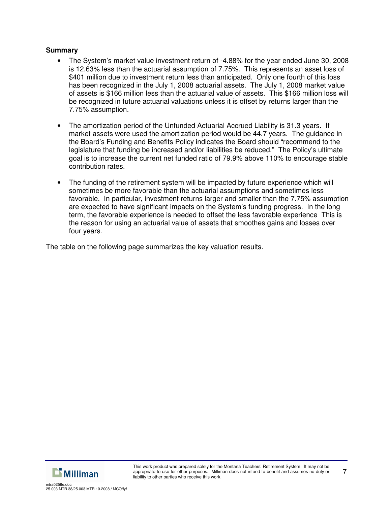#### **Summary**

- The System's market value investment return of -4.88% for the year ended June 30, 2008 is 12.63% less than the actuarial assumption of 7.75%. This represents an asset loss of \$401 million due to investment return less than anticipated. Only one fourth of this loss has been recognized in the July 1, 2008 actuarial assets. The July 1, 2008 market value of assets is \$166 million less than the actuarial value of assets. This \$166 million loss will be recognized in future actuarial valuations unless it is offset by returns larger than the 7.75% assumption.
- The amortization period of the Unfunded Actuarial Accrued Liability is 31.3 years. If market assets were used the amortization period would be 44.7 years. The guidance in the Board's Funding and Benefits Policy indicates the Board should "recommend to the legislature that funding be increased and/or liabilities be reduced." The Policy's ultimate goal is to increase the current net funded ratio of 79.9% above 110% to encourage stable contribution rates.
- The funding of the retirement system will be impacted by future experience which will sometimes be more favorable than the actuarial assumptions and sometimes less favorable. In particular, investment returns larger and smaller than the 7.75% assumption are expected to have significant impacts on the System's funding progress. In the long term, the favorable experience is needed to offset the less favorable experience This is the reason for using an actuarial value of assets that smoothes gains and losses over four years.

The table on the following page summarizes the key valuation results.



7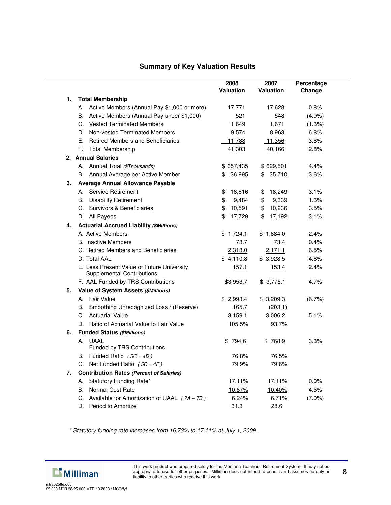## **Summary of Key Valuation Results**

|    |                                                                                 | 2008<br><b>Valuation</b> | 2007<br><b>Valuation</b> | Percentage<br>Change |
|----|---------------------------------------------------------------------------------|--------------------------|--------------------------|----------------------|
| 1. | <b>Total Membership</b>                                                         |                          |                          |                      |
|    | A. Active Members (Annual Pay \$1,000 or more)                                  | 17,771                   | 17,628                   | 0.8%                 |
|    | Active Members (Annual Pay under \$1,000)<br>В.                                 | 521                      | 548                      | (4.9%                |
|    | C. Vested Terminated Members                                                    | 1,649                    | 1,671                    | (1.3%)               |
|    | D. Non-vested Terminated Members                                                | 9,574                    | 8,963                    | 6.8%                 |
|    | E. Retired Members and Beneficiaries                                            | 11,788                   | 11,356                   | 3.8%                 |
|    | F. Total Membership                                                             | 41,303                   | 40,166                   | 2.8%                 |
|    | 2. Annual Salaries                                                              |                          |                          |                      |
|    | A. Annual Total (\$Thousands)                                                   | \$657,435                | \$629,501                | 4.4%                 |
|    | B. Annual Average per Active Member                                             | \$36,995                 | \$35,710                 | 3.6%                 |
| 3. | <b>Average Annual Allowance Payable</b>                                         |                          |                          |                      |
|    | A. Service Retirement                                                           | 18,816<br>\$             | 18,249<br>\$             | 3.1%                 |
|    | <b>Disability Retirement</b><br>В.                                              | \$<br>9,484              | 9,339<br>\$              | 1.6%                 |
|    | C. Survivors & Beneficiaries                                                    | 10,591<br>\$             | 10,236<br>\$             | 3.5%                 |
|    | D. All Payees                                                                   | 17,729<br>\$             | \$<br>17,192             | 3.1%                 |
| 4. | <b>Actuarial Accrued Liability (\$Millions)</b>                                 |                          |                          |                      |
|    | A. Active Members                                                               | \$1,724.1                | \$1,684.0                | 2.4%                 |
|    | <b>B.</b> Inactive Members                                                      | 73.7                     | 73.4                     | 0.4%                 |
|    | C. Retired Members and Beneficiaries                                            | 2,313.0                  | 2,171.1                  | 6.5%                 |
|    | D. Total AAL                                                                    | \$4,110.8                | \$3,928.5                | 4.6%                 |
|    | E. Less Present Value of Future University<br><b>Supplemental Contributions</b> | 157.1                    | 153.4                    | 2.4%                 |
|    | F. AAL Funded by TRS Contributions                                              | \$3,953.7                | \$3,775.1                | 4.7%                 |
| 5. | Value of System Assets (\$Millions)                                             |                          |                          |                      |
|    | A. Fair Value                                                                   | \$2,993.4                | \$3,209.3                | $(6.7\%)$            |
|    | B. Smoothing Unrecognized Loss / (Reserve)                                      | 165.7                    | (203.1)                  |                      |
|    | C.<br><b>Actuarial Value</b>                                                    | 3,159.1                  | 3,006.2                  | 5.1%                 |
|    | D. Ratio of Actuarial Value to Fair Value                                       | 105.5%                   | 93.7%                    |                      |
| 6. | <b>Funded Status (\$Millions)</b>                                               |                          |                          |                      |
|    | A. UAAL<br>Funded by TRS Contributions                                          | \$794.6                  | \$768.9                  | $3.3\%$              |
|    | B. Funded Ratio $(5C \div 4D)$                                                  | 76.8%                    | 76.5%                    |                      |
|    | C. Net Funded Ratio $(5C \div 4F)$                                              | 79.9%                    | 79.6%                    |                      |
| 7. | <b>Contribution Rates (Percent of Salaries)</b>                                 |                          |                          |                      |
|    | A. Statutory Funding Rate*                                                      | 17.11%                   | 17.11%                   | 0.0%                 |
|    | B. Normal Cost Rate                                                             | 10.87%                   | <u>10.40%</u>            | 4.5%                 |
|    | C. Available for Amortization of UAAL $(7A - 7B)$                               | 6.24%                    | 6.71%                    | $(7.0\%)$            |
|    | D.<br>Period to Amortize                                                        | 31.3                     | 28.6                     |                      |

*\* Statutory funding rate increases from 16.73% to 17.11% at July 1, 2009.*



mtra0258e.doc 25 003 MTR 38/25.003.MTR.10.2008 / MCO/fyf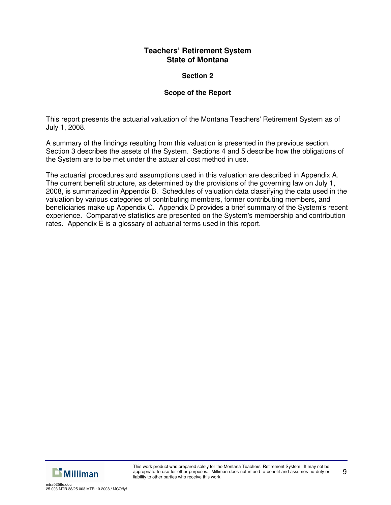## **Section 2**

## **Scope of the Report**

This report presents the actuarial valuation of the Montana Teachers' Retirement System as of July 1, 2008.

A summary of the findings resulting from this valuation is presented in the previous section. Section 3 describes the assets of the System. Sections 4 and 5 describe how the obligations of the System are to be met under the actuarial cost method in use.

The actuarial procedures and assumptions used in this valuation are described in Appendix A. The current benefit structure, as determined by the provisions of the governing law on July 1, 2008, is summarized in Appendix B. Schedules of valuation data classifying the data used in the valuation by various categories of contributing members, former contributing members, and beneficiaries make up Appendix C. Appendix D provides a brief summary of the System's recent experience. Comparative statistics are presented on the System's membership and contribution rates. Appendix E is a glossary of actuarial terms used in this report.

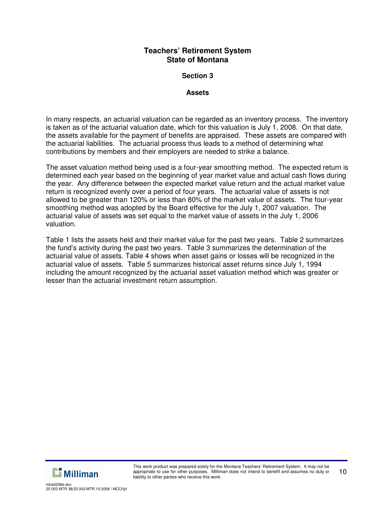### **Section 3**

#### **Assets**

In many respects, an actuarial valuation can be regarded as an inventory process. The inventory is taken as of the actuarial valuation date, which for this valuation is July 1, 2008. On that date, the assets available for the payment of benefits are appraised. These assets are compared with the actuarial liabilities. The actuarial process thus leads to a method of determining what contributions by members and their employers are needed to strike a balance.

The asset valuation method being used is a four-year smoothing method. The expected return is determined each year based on the beginning of year market value and actual cash flows during the year. Any difference between the expected market value return and the actual market value return is recognized evenly over a period of four years. The actuarial value of assets is not allowed to be greater than 120% or less than 80% of the market value of assets. The four-year smoothing method was adopted by the Board effective for the July 1, 2007 valuation. The actuarial value of assets was set equal to the market value of assets in the July 1, 2006 valuation.

Table 1 lists the assets held and their market value for the past two years. Table 2 summarizes the fund's activity during the past two years. Table 3 summarizes the determination of the actuarial value of assets. Table 4 shows when asset gains or losses will be recognized in the actuarial value of assets. Table 5 summarizes historical asset returns since July 1, 1994 including the amount recognized by the actuarial asset valuation method which was greater or lesser than the actuarial investment return assumption.

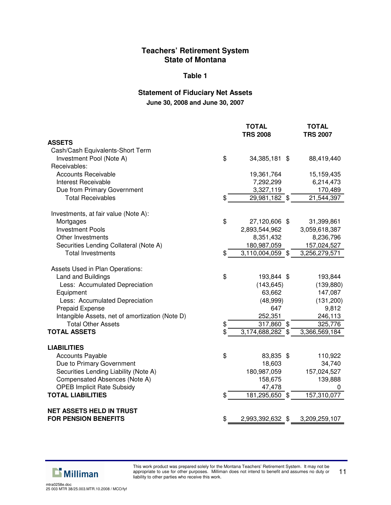#### **Table 1**

## **Statement of Fiduciary Net Assets June 30, 2008 and June 30, 2007**

|                                                 | <b>TOTAL</b><br><b>TRS 2008</b> | <b>TOTAL</b><br><b>TRS 2007</b> |
|-------------------------------------------------|---------------------------------|---------------------------------|
| <b>ASSETS</b>                                   |                                 |                                 |
| Cash/Cash Equivalents-Short Term                |                                 |                                 |
| Investment Pool (Note A)                        | \$<br>34,385,181<br>-\$         | 88,419,440                      |
| Receivables:                                    |                                 |                                 |
| <b>Accounts Receivable</b>                      | 19,361,764                      | 15,159,435                      |
| Interest Receivable                             | 7,292,299                       | 6,214,473                       |
| Due from Primary Government                     | 3,327,119                       | 170,489                         |
| <b>Total Receivables</b>                        | \$<br>29,981,182 \$             | 21,544,397                      |
| Investments, at fair value (Note A):            |                                 |                                 |
| Mortgages                                       | \$<br>27,120,606 \$             | 31,399,861                      |
| <b>Investment Pools</b>                         | 2,893,544,962                   | 3,059,618,387                   |
| Other Investments                               | 8,351,432                       | 8,236,796                       |
| Securities Lending Collateral (Note A)          | 180,987,059                     | 157,024,527                     |
| <b>Total Investments</b>                        | \$<br>3,110,004,059 \$          | 3,256,279,571                   |
| Assets Used in Plan Operations:                 |                                 |                                 |
| Land and Buildings                              | \$<br>193,844 \$                | 193,844                         |
| Less: Accumulated Depreciation                  | (143, 645)                      | (139, 880)                      |
| Equipment                                       | 63,662                          | 147,087                         |
| Less: Accumulated Depreciation                  | (48,999)                        | (131, 200)                      |
| <b>Prepaid Expense</b>                          | 647                             | 9,812                           |
| Intangible Assets, net of amortization (Note D) | 252,351                         | 246,113                         |
| <b>Total Other Assets</b>                       | \$<br>317,860 \$                | 325,776                         |
| <b>TOTAL ASSETS</b>                             | \$<br>3,174,688,282 \$          | 3,366,569,184                   |
| <b>LIABILITIES</b>                              |                                 |                                 |
| <b>Accounts Payable</b>                         | \$<br>83,835 \$                 | 110,922                         |
| Due to Primary Government                       | 18,603                          | 34,740                          |
| Securities Lending Liability (Note A)           | 180,987,059                     | 157,024,527                     |
| Compensated Absences (Note A)                   | 158,675                         | 139,888                         |
| <b>OPEB Implicit Rate Subsidy</b>               | 47,478                          | 0                               |
| <b>TOTAL LIABILITIES</b>                        | \$<br>181,295,650 \$            | 157,310,077                     |
| <b>NET ASSETS HELD IN TRUST</b>                 |                                 |                                 |
| <b>FOR PENSION BENEFITS</b>                     | \$<br>2,993,392,632 \$          | 3,209,259,107                   |

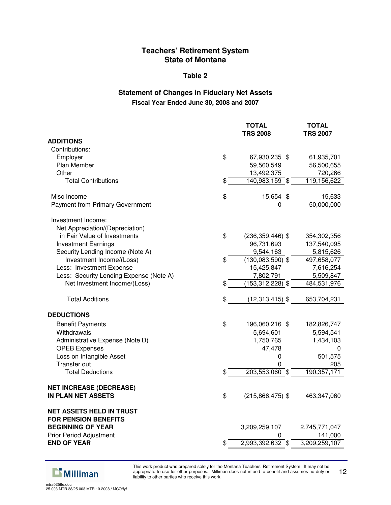#### **Table 2**

## **Statement of Changes in Fiduciary Net Assets Fiscal Year Ended June 30, 2008 and 2007**

|                                         | TOTAL<br><b>TRS 2008</b>   | TOTAL<br><b>TRS 2007</b> |
|-----------------------------------------|----------------------------|--------------------------|
| <b>ADDITIONS</b>                        |                            |                          |
| Contributions:                          |                            |                          |
| Employer                                | \$<br>67,930,235 \$        | 61,935,701               |
| Plan Member                             | 59,560,549                 | 56,500,655               |
| Other                                   | 13,492,375                 | 720,266                  |
| <b>Total Contributions</b>              | \$<br>140,983,159 \$       | 119,156,622              |
| Misc Income                             | \$<br>15,654 \$            | 15,633                   |
| <b>Payment from Primary Government</b>  | 0                          | 50,000,000               |
| Investment Income:                      |                            |                          |
| Net Appreciation/(Depreciation)         |                            |                          |
| in Fair Value of Investments            | \$<br>$(236, 359, 446)$ \$ | 354,302,356              |
| <b>Investment Earnings</b>              | 96,731,693                 | 137,540,095              |
| Security Lending Income (Note A)        | 9,544,163                  | 5,815,626                |
| Investment Income/(Loss)                | \$<br>$(130,083,590)$ \$   | 497,658,077              |
| Less: Investment Expense                | 15,425,847                 | 7,616,254                |
| Less: Security Lending Expense (Note A) | 7,802,791                  | 5,509,847                |
| Net Investment Income/(Loss)            | \$<br>$(153, 312, 228)$ \$ | 484,531,976              |
| <b>Total Additions</b>                  | \$<br>$(12,313,415)$ \$    | 653,704,231              |
| <b>DEDUCTIONS</b>                       |                            |                          |
| <b>Benefit Payments</b>                 | \$<br>196,060,216 \$       | 182,826,747              |
| Withdrawals                             | 5,694,601                  | 5,594,541                |
| Administrative Expense (Note D)         | 1,750,765                  | 1,434,103                |
| <b>OPEB Expenses</b>                    | 47,478                     | 0                        |
| Loss on Intangible Asset                | 0                          | 501,575                  |
| Transfer out                            | 0                          | 205                      |
| <b>Total Deductions</b>                 | \$<br>203,553,060 \$       | 190,357,171              |
| <b>NET INCREASE (DECREASE)</b>          |                            |                          |
| <b>IN PLAN NET ASSETS</b>               | \$<br>$(215,866,475)$ \$   | 463,347,060              |
| <b>NET ASSETS HELD IN TRUST</b>         |                            |                          |
| <b>FOR PENSION BENEFITS</b>             |                            |                          |
| <b>BEGINNING OF YEAR</b>                | 3,209,259,107              | 2,745,771,047            |
| <b>Prior Period Adjustment</b>          | 0                          | 141,000                  |
| <b>END OF YEAR</b>                      | \$<br>2,993,392,632 \$     | 3,209,259,107            |



This work product was prepared solely for the Montana Teachers' Retirement System. It may not be appropriate to use for other purposes. Milliman does not intend to benefit and assumes no duty or liability to other parties who receive this work. 12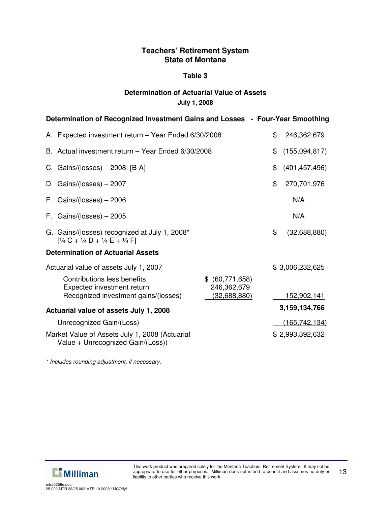## **Table 3**

## **Determination of Actuarial Value of Assets July 1, 2008**

| Determination of Recognized Investment Gains and Losses - Four-Year Smoothing                          |                                |                 |                    |  |  |  |
|--------------------------------------------------------------------------------------------------------|--------------------------------|-----------------|--------------------|--|--|--|
| A. Expected investment return - Year Ended 6/30/2008                                                   | \$                             | 246,362,679     |                    |  |  |  |
| B. Actual investment return - Year Ended 6/30/2008                                                     |                                | \$              | (155,094,817)      |  |  |  |
| C. Gains/(losses) $-2008$ [B-A]                                                                        |                                | \$              | (401, 457, 496)    |  |  |  |
| D. Gains/(losses) $-2007$                                                                              |                                | \$              | 270,701,976        |  |  |  |
| E. Gains/(losses) $-2006$                                                                              |                                |                 | N/A                |  |  |  |
| F. Gains/(losses) $-2005$                                                                              |                                |                 | N/A                |  |  |  |
| G. Gains/(losses) recognized at July 1, 2008*<br>$[1/4$ C + $1/4$ D + $1/4$ E + $1/4$ F                |                                | \$              | (32,688,880)       |  |  |  |
| <b>Determination of Actuarial Assets</b>                                                               |                                |                 |                    |  |  |  |
| Actuarial value of assets July 1, 2007<br>Contributions less benefits<br>Expected investment return    | \$ (60,771,658)<br>246,362,679 |                 | \$3,006,232,625    |  |  |  |
| Recognized investment gains/(losses)                                                                   | <u>(32,688,880)</u>            |                 | <u>152,902,141</u> |  |  |  |
| Actuarial value of assets July 1, 2008                                                                 |                                | 3,159,134,766   |                    |  |  |  |
| Unrecognized Gain/(Loss)                                                                               |                                | (165, 742, 134) |                    |  |  |  |
| Market Value of Assets July 1, 2008 (Actuarial<br>\$2,993,392,632<br>Value + Unrecognized Gain/(Loss)) |                                |                 |                    |  |  |  |

*\* Includes rounding adjustment, if necessary.*

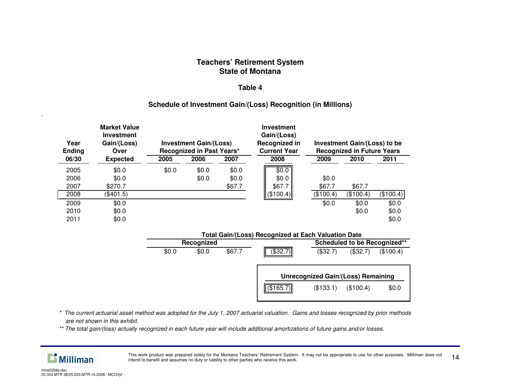#### **Table 4**

## **Schedule of Investment Gain/(Loss) Recognition (in Millions)**

| Year<br><b>Ending</b> | <b>Market Value</b><br>Investment<br>Gain/(Loss)<br>Over | <b>Investment Gain/(Loss)</b><br>Recognized in Past Years* |                | <b>Investment</b><br>Gain/(Loss)<br>Recognized in<br><b>Current Year</b> |                          | Investment Gain/(Loss) to be<br><b>Recognized in Future Years</b> |                |                         |
|-----------------------|----------------------------------------------------------|------------------------------------------------------------|----------------|--------------------------------------------------------------------------|--------------------------|-------------------------------------------------------------------|----------------|-------------------------|
| 06/30                 | <b>Expected</b>                                          | 2005                                                       | 2006           | 2007                                                                     | 2008                     | 2009                                                              | 2010           | 2011                    |
| 2005<br>2006<br>2007  | \$0.0<br>\$0.0<br>\$270.7                                | \$0.0                                                      | \$0.0<br>\$0.0 | \$0.0<br>\$0.0<br>\$67.7                                                 | \$0.0<br>\$0.0<br>\$67.7 | \$0.0<br>\$67.7                                                   | \$67.7         |                         |
| 2008                  | (\$401.5)                                                |                                                            |                |                                                                          | (\$100.4)                | (\$100.4)                                                         | (\$100.4)      | (\$100.4)               |
| 2009<br>2010<br>2011  | \$0.0<br>\$0.0<br>\$0.0                                  |                                                            |                |                                                                          |                          | \$0.0                                                             | \$0.0<br>\$0.0 | \$0.0<br>\$0.0<br>\$0.0 |

#### **Total Gain/(Loss) Recognized at Each Valuation Date**

| Recognized |       |       |        |           |                                           | Scheduled to be Recognized** |           |
|------------|-------|-------|--------|-----------|-------------------------------------------|------------------------------|-----------|
|            | \$0.0 | \$0.0 | \$67.7 | (\$32.7)∥ | (\$32.7)                                  | (\$32.7)                     | (\$100.4) |
|            |       |       |        |           | <b>Unrecognized Gain/(Loss) Remaining</b> |                              |           |
|            |       |       |        | (\$165.7) | (\$133.1)                                 | (\$100.4)                    | \$0.0     |

- \* The current actuarial asset method was adopted for the July 1, 2007 actuarial valuation. Gains and losses recognized by prior methods *are not shown in this exhibit.*
- \*\* The total gain/(loss) actually recognized in each future year will include additional amortizations of future gains and/or losses.



This work product was prepared solely for the Montana Teachers' Retirement System. It may not be appropriate to use for other purposes. Milliman does not This work product was prepared solety for the Montana Teachers Retirement System. It may not be appropriate to use for other purposes. Miniman does not  $14$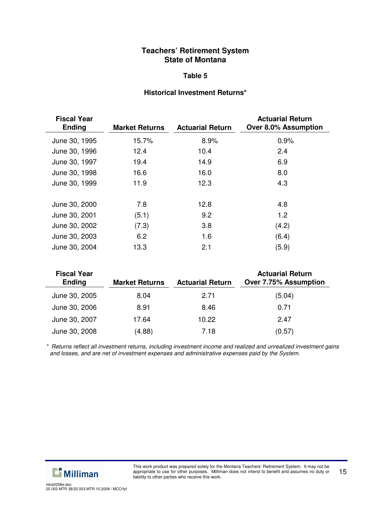#### **Table 5**

#### **Historical Investment Returns\***

| <b>Fiscal Year</b><br><b>Ending</b> | <b>Market Returns</b> | <b>Actuarial Return</b> | <b>Actuarial Return</b><br>Over 8.0% Assumption |
|-------------------------------------|-----------------------|-------------------------|-------------------------------------------------|
| June 30, 1995                       | 15.7%                 | 8.9%                    | 0.9%                                            |
| June 30, 1996                       | 12.4                  | 10.4                    | 2.4                                             |
| June 30, 1997                       | 19.4                  | 14.9                    | 6.9                                             |
| June 30, 1998                       | 16.6                  | 16.0                    | 8.0                                             |
| June 30, 1999                       | 11.9                  | 12.3                    | 4.3                                             |
| June 30, 2000                       | 7.8                   | 12.8                    | 4.8                                             |
| June 30, 2001                       | (5.1)                 | 9.2                     | 1.2                                             |
| June 30, 2002                       | (7.3)                 | 3.8                     | (4.2)                                           |
| June 30, 2003                       | 6.2                   | 1.6                     | (6.4)                                           |
| June 30, 2004                       | 13.3                  | 2.1                     | (5.9)                                           |

| <b>Fiscal Year</b><br><b>Ending</b> | <b>Market Returns</b> | <b>Actuarial Return</b> | <b>Actuarial Return</b><br><b>Over 7.75% Assumption</b> |
|-------------------------------------|-----------------------|-------------------------|---------------------------------------------------------|
| June 30, 2005                       | 8.04                  | 2.71                    | (5.04)                                                  |
| June 30, 2006                       | 8.91                  | 8.46                    | 0.71                                                    |
| June 30, 2007                       | 17.64                 | 10.22                   | 2.47                                                    |
| June 30, 2008                       | (4.88)                | 7.18                    | (0.57)                                                  |

*\* Returns reflect all investment returns, including investment income and realized and unrealized investment gains and losses, and are net of investment expenses and administrative expenses paid by the System.*

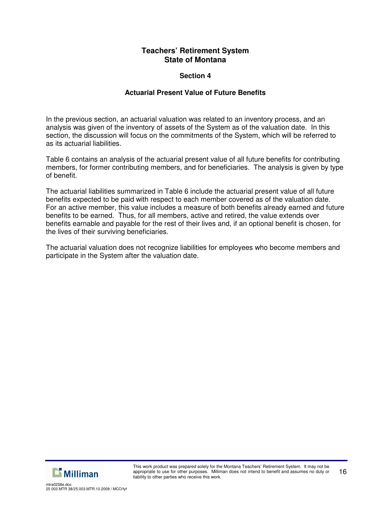## **Section 4**

## **Actuarial Present Value of Future Benefits**

In the previous section, an actuarial valuation was related to an inventory process, and an analysis was given of the inventory of assets of the System as of the valuation date. In this section, the discussion will focus on the commitments of the System, which will be referred to as its actuarial liabilities.

Table 6 contains an analysis of the actuarial present value of all future benefits for contributing members, for former contributing members, and for beneficiaries. The analysis is given by type of benefit.

The actuarial liabilities summarized in Table 6 include the actuarial present value of all future benefits expected to be paid with respect to each member covered as of the valuation date. For an active member, this value includes a measure of both benefits already earned and future benefits to be earned. Thus, for all members, active and retired, the value extends over benefits earnable and payable for the rest of their lives and, if an optional benefit is chosen, for the lives of their surviving beneficiaries.

The actuarial valuation does not recognize liabilities for employees who become members and participate in the System after the valuation date.

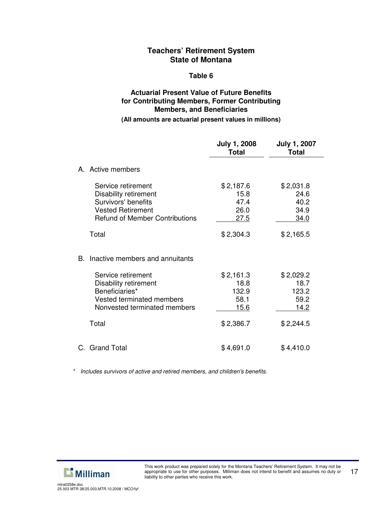#### **Table 6**

## **Actuarial Present Value of Future Benefits for Contributing Members, Former Contributing Members, and Beneficiaries**

#### **(All amounts are actuarial present values in millions)**

|    |                                                                                                                                         | <b>July 1, 2008</b><br><b>Total</b>       | <b>July 1, 2007</b><br><b>Total</b>       |
|----|-----------------------------------------------------------------------------------------------------------------------------------------|-------------------------------------------|-------------------------------------------|
|    | A. Active members                                                                                                                       |                                           |                                           |
|    | Service retirement<br>Disability retirement<br>Survivors' benefits<br><b>Vested Retirement</b><br><b>Refund of Member Contributions</b> | \$2,187.6<br>15.8<br>47.4<br>26.0<br>27.5 | \$2,031.8<br>24.6<br>40.2<br>34.9<br>34.0 |
|    | Total                                                                                                                                   | \$2,304.3                                 | \$2,165.5                                 |
| В. | Inactive members and annuitants                                                                                                         |                                           |                                           |
|    | Service retirement                                                                                                                      | \$2,161.3                                 | \$2,029.2                                 |
|    | Disability retirement<br>Beneficiaries*                                                                                                 | 18.8<br>132.9                             | 18.7<br>123.2                             |
|    | Vested terminated members                                                                                                               | 58.1                                      | 59.2                                      |
|    | Nonvested terminated members                                                                                                            | <u>15.6</u>                               | <u>14.2</u>                               |
|    | Total                                                                                                                                   | \$2,386.7                                 | \$2,244.5                                 |
|    | C. Grand Total                                                                                                                          | \$4,691.0                                 | \$4,410.0                                 |

*\* Includes survivors of active and retired members, and children's benefits.*

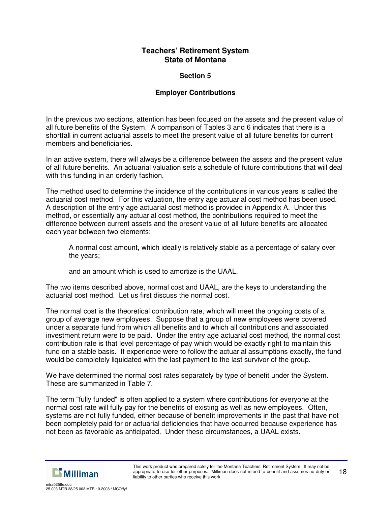## **Section 5**

## **Employer Contributions**

In the previous two sections, attention has been focused on the assets and the present value of all future benefits of the System. A comparison of Tables 3 and 6 indicates that there is a shortfall in current actuarial assets to meet the present value of all future benefits for current members and beneficiaries.

In an active system, there will always be a difference between the assets and the present value of all future benefits. An actuarial valuation sets a schedule of future contributions that will deal with this funding in an orderly fashion.

The method used to determine the incidence of the contributions in various years is called the actuarial cost method. For this valuation, the entry age actuarial cost method has been used. A description of the entry age actuarial cost method is provided in Appendix A. Under this method, or essentially any actuarial cost method, the contributions required to meet the difference between current assets and the present value of all future benefits are allocated each year between two elements:

A normal cost amount, which ideally is relatively stable as a percentage of salary over the years;

and an amount which is used to amortize is the UAAL.

The two items described above, normal cost and UAAL, are the keys to understanding the actuarial cost method. Let us first discuss the normal cost.

The normal cost is the theoretical contribution rate, which will meet the ongoing costs of a group of average new employees. Suppose that a group of new employees were covered under a separate fund from which all benefits and to which all contributions and associated investment return were to be paid. Under the entry age actuarial cost method, the normal cost contribution rate is that level percentage of pay which would be exactly right to maintain this fund on a stable basis. If experience were to follow the actuarial assumptions exactly, the fund would be completely liquidated with the last payment to the last survivor of the group.

We have determined the normal cost rates separately by type of benefit under the System. These are summarized in Table 7.

The term "fully funded" is often applied to a system where contributions for everyone at the normal cost rate will fully pay for the benefits of existing as well as new employees. Often, systems are not fully funded, either because of benefit improvements in the past that have not been completely paid for or actuarial deficiencies that have occurred because experience has not been as favorable as anticipated. Under these circumstances, a UAAL exists.

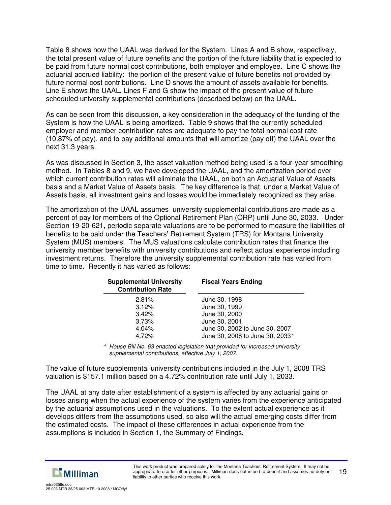Table 8 shows how the UAAL was derived for the System. Lines A and B show, respectively, the total present value of future benefits and the portion of the future liability that is expected to be paid from future normal cost contributions, both employer and employee. Line C shows the actuarial accrued liability: the portion of the present value of future benefits not provided by future normal cost contributions. Line D shows the amount of assets available for benefits. Line E shows the UAAL. Lines F and G show the impact of the present value of future scheduled university supplemental contributions (described below) on the UAAL.

As can be seen from this discussion, a key consideration in the adequacy of the funding of the System is how the UAAL is being amortized. Table 9 shows that the currently scheduled employer and member contribution rates are adequate to pay the total normal cost rate (10.87% of pay), and to pay additional amounts that will amortize (pay off) the UAAL over the next 31.3 years.

As was discussed in Section 3, the asset valuation method being used is a four-year smoothing method. In Tables 8 and 9, we have developed the UAAL, and the amortization period over which current contribution rates will eliminate the UAAL, on both an Actuarial Value of Assets basis and a Market Value of Assets basis. The key difference is that, under a Market Value of Assets basis, all investment gains and losses would be immediately recognized as they arise.

The amortization of the UAAL assumes university supplemental contributions are made as a percent of pay for members of the Optional Retirement Plan (ORP) until June 30, 2033. Under Section 19-20-621, periodic separate valuations are to be performed to measure the liabilities of benefits to be paid under the Teachers' Retirement System (TRS) for Montana University System (MUS) members. The MUS valuations calculate contribution rates that finance the university member benefits with university contributions and reflect actual experience including investment returns. Therefore the university supplemental contribution rate has varied from time to time. Recently it has varied as follows:

| <b>Supplemental University</b><br><b>Contribution Rate</b> | <b>Fiscal Years Ending</b>      |
|------------------------------------------------------------|---------------------------------|
| 2.81%                                                      | June 30, 1998                   |
| 3.12%                                                      | June 30, 1999                   |
| 3.42%                                                      | June 30, 2000                   |
| 3.73%                                                      | June 30, 2001                   |
| 4.04%                                                      | June 30, 2002 to June 30, 2007  |
| 4.72%                                                      | June 30, 2008 to June 30, 2033* |

*\* House Bill No. 63 enacted legislation that provided for increased university supplemental contributions, effective July 1, 2007.*

The value of future supplemental university contributions included in the July 1, 2008 TRS valuation is \$157.1 million based on a 4.72% contribution rate until July 1, 2033.

The UAAL at any date after establishment of a system is affected by any actuarial gains or losses arising when the actual experience of the system varies from the experience anticipated by the actuarial assumptions used in the valuations. To the extent actual experience as it develops differs from the assumptions used, so also will the actual emerging costs differ from the estimated costs. The impact of these differences in actual experience from the assumptions is included in Section 1, the Summary of Findings.

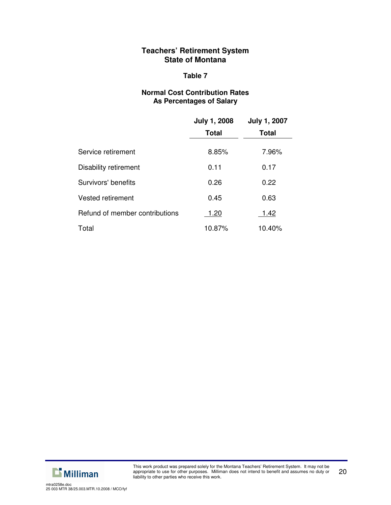## **Table 7**

## **Normal Cost Contribution Rates As Percentages of Salary**

|                                | <b>July 1, 2008</b> | <b>July 1, 2007</b> |
|--------------------------------|---------------------|---------------------|
|                                | <b>Total</b>        | <b>Total</b>        |
| Service retirement             | 8.85%               | 7.96%               |
| Disability retirement          | 0.11                | 0.17                |
| Survivors' benefits            | 0.26                | 0.22                |
| <b>Vested retirement</b>       | 0.45                | 0.63                |
| Refund of member contributions | 1.20                | 1.42                |
| Total                          | 10.87%              | 10.40%              |

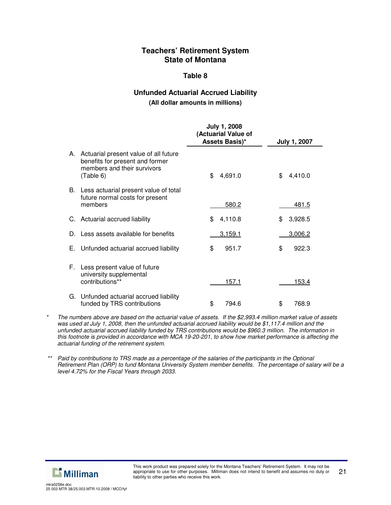#### **Table 8**

## **Unfunded Actuarial Accrued Liability (All dollar amounts in millions)**

|    |                                                                                                                         | <b>July 1, 2008</b><br>(Actuarial Value of<br>Assets Basis)* | <b>July 1, 2007</b> |
|----|-------------------------------------------------------------------------------------------------------------------------|--------------------------------------------------------------|---------------------|
|    | A. Actuarial present value of all future<br>benefits for present and former<br>members and their survivors<br>(Table 6) | \$<br>4,691.0                                                | 4,410.0<br>\$       |
|    | B. Less actuarial present value of total<br>future normal costs for present<br>members                                  | 580.2                                                        | 481.5               |
|    | C. Actuarial accrued liability                                                                                          | 4,110.8<br>\$                                                | 3,928.5<br>\$.      |
|    | Less assets available for benefits                                                                                      | 3,159.1                                                      | 3,006.2             |
| Е. | Unfunded actuarial accrued liability                                                                                    | \$<br>951.7                                                  | \$<br>922.3         |
| F. | Less present value of future<br>university supplemental<br>contributions**                                              | 157.1                                                        | 153.4               |
|    | G. Unfunded actuarial accrued liability<br>funded by TRS contributions                                                  | \$<br>794.6                                                  | \$<br>768.9         |

The numbers above are based on the actuarial value of assets. If the \$2,993.4 million market value of assets was used at July 1, 2008, then the unfunded actuarial accrued liability would be \$1,117.4 million and the *unfunded actuarial accrued liability funded by TRS contributions would be \$960.3 million. The information in* this footnote is provided in accordance with MCA 19-20-201, to show how market performance is affecting the *actuarial funding of the retirement system.*



<sup>\*\*</sup> Paid by contributions to TRS made as a percentage of the salaries of the participants in the Optional Retirement Plan (ORP) to fund Montana University System member benefits. The percentage of salary will be a *level 4.72% for the Fiscal Years through 2033.*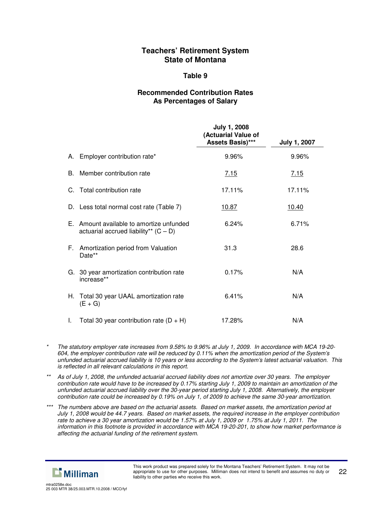#### **Table 9**

## **Recommended Contribution Rates As Percentages of Salary**

|    |                                                                                     | <b>July 1, 2008</b><br>(Actuarial Value of<br>Assets Basis)*** | <b>July 1, 2007</b> |
|----|-------------------------------------------------------------------------------------|----------------------------------------------------------------|---------------------|
|    | A. Employer contribution rate*                                                      | 9.96%                                                          | 9.96%               |
| B. | Member contribution rate                                                            | 7.15                                                           | 7.15                |
|    | C. Total contribution rate                                                          | 17.11%                                                         | 17.11%              |
|    | D. Less total normal cost rate (Table 7)                                            | <u>10.87</u>                                                   | <u>10.40</u>        |
|    | E. Amount available to amortize unfunded<br>actuarial accrued liability** $(C - D)$ | 6.24%                                                          | 6.71%               |
|    | F. Amortization period from Valuation<br>Date**                                     | 31.3                                                           | 28.6                |
|    | G. 30 year amortization contribution rate<br>increase**                             | 0.17%                                                          | N/A                 |
|    | H. Total 30 year UAAL amortization rate<br>$(E+G)$                                  | 6.41%                                                          | N/A                 |
| L. | Total 30 year contribution rate $(D + H)$                                           | 17.28%                                                         | N/A                 |

- The statutory employer rate increases from 9.58% to 9.96% at July 1, 2009. In accordance with MCA 19-20-*604, the employer contribution rate will be reduced by 0.11% when the amortization period of the System's* unfunded actuarial accrued liability is 10 years or less according to the System's latest actuarial valuation. This *is reflected in all relevant calculations in this report.*
- As of July 1, 2008, the unfunded actuarial accrued liability does not amortize over 30 years. The employer contribution rate would have to be increased by 0.17% starting July 1, 2009 to maintain an amortization of the *unfunded actuarial accrued liability over the 30-year period starting July 1, 2008. Alternatively, the employer* contribution rate could be increased by 0.19% on July 1, of 2009 to achieve the same 30-year amortization.
- \*\*\* The numbers above are based on the actuarial assets. Based on market assets, the amortization period at July 1, 2008 would be 44.7 years. Based on market assets, the required increase in the employer contribution rate to achieve a 30 year amortization would be 1.57% at July 1, 2009 or 1.75% at July 1, 2011. The information in this footnote is provided in accordance with MCA 19-20-201, to show how market performance is *affecting the actuarial funding of the retirement system.*

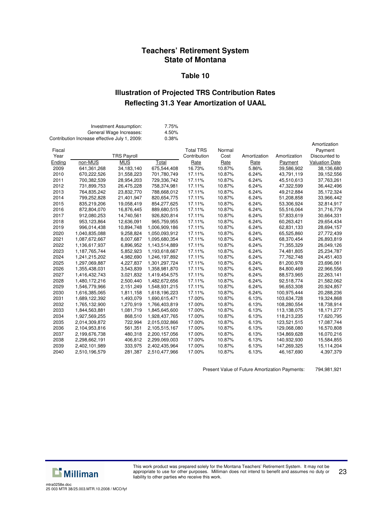#### **Table 10**

## **Illustration of Projected TRS Contribution Rates Reflecting 31.3 Year Amortization of UAAL**

|        | Contribution Increase effective July 1, 2009: | Investment Assumption:<br>General Wage Increases: | 7.75%<br>4.50%<br>0.38% |                  |        |              |              |                       |
|--------|-----------------------------------------------|---------------------------------------------------|-------------------------|------------------|--------|--------------|--------------|-----------------------|
|        |                                               |                                                   |                         |                  |        |              |              | Amortization          |
| Fiscal |                                               |                                                   |                         | <b>Total TRS</b> | Normal |              |              | Payment               |
| Year   |                                               | <b>TRS Payroll</b>                                |                         | Contribution     | Cost   | Amortization | Amortization | Discounted to         |
| Ending | non-MUS                                       | <b>MUS</b>                                        | Total                   | Rate             | Rate   | Rate         | Payment      | <b>Valuation Date</b> |
| 2009   | 641, 361, 268                                 | 34,183,140                                        | 675,544,408             | 16.73%           | 10.87% | 5.86%        | 39,586,902   | 38,136,680            |
| 2010   | 670,222,526                                   | 31,558,223                                        | 701,780,749             | 17.11%           | 10.87% | 6.24%        | 43,791,119   | 39,152,556            |
| 2011   | 700,382,539                                   | 28,954,203                                        | 729,336,742             | 17.11%           | 10.87% | 6.24%        | 45,510,613   | 37,763,261            |
| 2012   | 731,899,753                                   | 26,475,228                                        | 758,374,981             | 17.11%           | 10.87% | 6.24%        | 47,322,599   | 36,442,496            |
| 2013   | 764,835,242                                   | 23,832,770                                        | 788,668,012             | 17.11%           | 10.87% | 6.24%        | 49,212,884   | 35,172,324            |
| 2014   | 799,252,828                                   | 21,401,947                                        | 820,654,775             | 17.11%           | 10.87% | 6.24%        | 51,208,858   | 33,966,442            |
| 2015   | 835,219,206                                   | 19,058,419                                        | 854,277,625             | 17.11%           | 10.87% | 6.24%        | 53,306,924   | 32,814,917            |
| 2016   | 872,804,070                                   | 16,876,445                                        | 889,680,515             | 17.11%           | 10.87% | 6.24%        | 55,516,064   | 31,716,779            |
| 2017   | 912,080,253                                   | 14,740,561                                        | 926,820,814             | 17.11%           | 10.87% | 6.24%        | 57,833,619   | 30,664,331            |
| 2018   | 953,123,864                                   | 12,636,091                                        | 965,759,955             | 17.11%           | 10.87% | 6.24%        | 60,263,421   | 29,654,434            |
| 2019   | 996,014,438                                   | 10,894,748                                        | 1,006,909,186           | 17.11%           | 10.87% | 6.24%        | 62,831,133   | 28,694,157            |
| 2020   | 1,040,835,088                                 | 9,258,824                                         | 1,050,093,912           | 17.11%           | 10.87% | 6.24%        | 65,525,860   | 27,772,439            |
| 2021   | 1,087,672,667                                 | 8,007,687                                         | 1,095,680,354           | 17.11%           | 10.87% | 6.24%        | 68,370,454   | 26,893,819            |
| 2022   | 1,136,617,937                                 | 6,896,952                                         | 1,143,514,889           | 17.11%           | 10.87% | 6.24%        | 71,355,329   | 26,049,126            |
| 2023   | 1,187,765,744                                 | 5,852,923                                         | 1,193,618,667           | 17.11%           | 10.87% | 6.24%        | 74,481,805   | 25,234,787            |
| 2024   | 1,241,215,202                                 | 4,982,690                                         | 1,246,197,892           | 17.11%           | 10.87% | 6.24%        | 77,762,748   | 24,451,403            |
| 2025   | 1,297,069,887                                 | 4,227,837                                         | 1,301,297,724           | 17.11%           | 10.87% | 6.24%        | 81,200,978   | 23,696,061            |
| 2026   | 1,355,438,031                                 | 3,543,839                                         | 1,358,981,870           | 17.11%           | 10.87% | 6.24%        | 84,800,469   | 22,966,556            |
| 2027   | 1,416,432,743                                 | 3,021,832                                         | 1,419,454,575           | 17.11%           | 10.87% | 6.24%        | 88,573,965   | 22,263,141            |
| 2028   | 1,480,172,216                                 | 2,500,440                                         | 1,482,672,656           | 17.11%           | 10.87% | 6.24%        | 92,518,774   | 21,582,062            |
| 2029   | 1,546,779,966                                 | 2,151,249                                         | 1,548,931,215           | 17.11%           | 10.87% | 6.24%        | 96,653,308   | 20,924,857            |
| 2030   | 1,616,385,065                                 | 1,811,158                                         | 1,618,196,223           | 17.11%           | 10.87% | 6.24%        | 100,975,444  | 20,288,236            |
| 2031   | 1,689,122,392                                 | 1,493,079                                         | 1,690,615,471           | 17.00%           | 10.87% | 6.13%        | 103,634,728  | 19,324,868            |
| 2032   | 1,765,132,900                                 | 1,270,919                                         | 1,766,403,819           | 17.00%           | 10.87% | 6.13%        | 108,280,554  | 18,738,914            |
| 2033   | 1,844,563,881                                 | 1,081,719                                         | 1,845,645,600           | 17.00%           | 10.87% | 6.13%        | 113,138,075  | 18, 171, 277          |
| 2034   | 1,927,569,255                                 | 868,510                                           | 1,928,437,765           | 17.00%           | 10.87% | 6.13%        | 118,213,235  | 17,620,795            |
| 2035   | 2,014,309,872                                 | 722,994                                           | 2,015,032,866           | 17.00%           | 10.87% | 6.13%        | 123,521,515  | 17,087,744            |
| 2036   | 2,104,953,816                                 | 561,351                                           | 2,105,515,167           | 17.00%           | 10.87% | 6.13%        | 129,068,080  | 16,570,808            |
| 2037   | 2,199,676,738                                 | 480,318                                           | 2,200,157,056           | 17.00%           | 10.87% | 6.13%        | 134,869,628  | 16,070,216            |
| 2038   | 2,298,662,191                                 | 406,812                                           | 2,299,069,003           | 17.00%           | 10.87% | 6.13%        | 140,932,930  | 15,584,855            |
| 2039   | 2,402,101,989                                 | 333,975                                           | 2,402,435,964           | 17.00%           | 10.87% | 6.13%        | 147,269,325  | 15,114,204            |
| 2040   | 2,510,196,579                                 | 281,387                                           | 2,510,477,966           | 17.00%           | 10.87% | 6.13%        | 46,167,690   | 4,397,379             |
|        |                                               |                                                   |                         |                  |        |              |              |                       |

Present Value of Future Amortization Payments: 794,981,921



This work product was prepared solely for the Montana Teachers' Retirement System. It may not be appropriate to use for other purposes. Milliman does not intend to benefit and assumes no duty or liability to other parties who receive this work.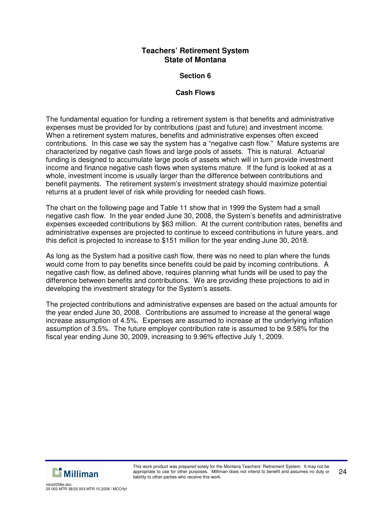## **Section 6**

## **Cash Flows**

The fundamental equation for funding a retirement system is that benefits and administrative expenses must be provided for by contributions (past and future) and investment income. When a retirement system matures, benefits and administrative expenses often exceed contributions. In this case we say the system has a "negative cash flow." Mature systems are characterized by negative cash flows and large pools of assets. This is natural. Actuarial funding is designed to accumulate large pools of assets which will in turn provide investment income and finance negative cash flows when systems mature. If the fund is looked at as a whole, investment income is usually larger than the difference between contributions and benefit payments. The retirement system's investment strategy should maximize potential returns at a prudent level of risk while providing for needed cash flows.

The chart on the following page and Table 11 show that in 1999 the System had a small negative cash flow. In the year ended June 30, 2008, the System's benefits and administrative expenses exceeded contributions by \$63 million. At the current contribution rates, benefits and administrative expenses are projected to continue to exceed contributions in future years, and this deficit is projected to increase to \$151 million for the year ending June 30, 2018.

As long as the System had a positive cash flow, there was no need to plan where the funds would come from to pay benefits since benefits could be paid by incoming contributions. A negative cash flow, as defined above, requires planning what funds will be used to pay the difference between benefits and contributions. We are providing these projections to aid in developing the investment strategy for the System's assets.

The projected contributions and administrative expenses are based on the actual amounts for the year ended June 30, 2008. Contributions are assumed to increase at the general wage increase assumption of 4.5%. Expenses are assumed to increase at the underlying inflation assumption of 3.5%. The future employer contribution rate is assumed to be 9.58% for the fiscal year ending June 30, 2009, increasing to 9.96% effective July 1, 2009.



25 003 MTR 38/25.003.MTR.10.2008 / MCO/fyf

mtra0258e.doc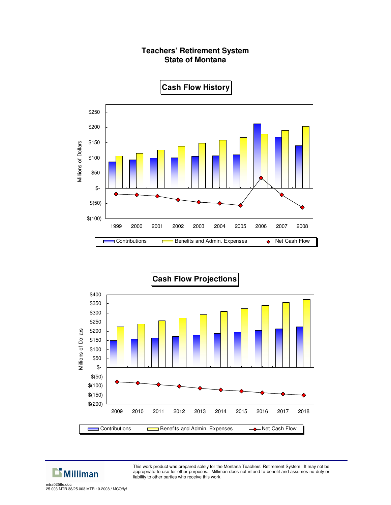# \$250 \$200 Millions of Dollars \$150 Millions of Dollars \$100 \$50 \$- \$(50) \$(100) 1999 2000 2001 2002 2003 2004 2005 2006 2007 2008 Contributions **Benefits and Admin. Expenses 4** Net Cash Flow г





**Cash Flow History**



This work product was prepared solely for the Montana Teachers' Retirement System. It may not be appropriate to use for other purposes. Milliman does not intend to benefit and assumes no duty or liability to other parties who receive this work.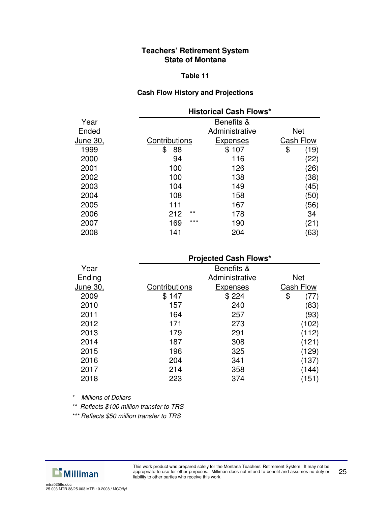#### **Table 11**

## **Cash Flow History and Projections**

|                 |               | <b>Historical Cash Flows*</b> |            |
|-----------------|---------------|-------------------------------|------------|
| Year            |               | Benefits &                    |            |
| Ended           |               | Administrative                | <b>Net</b> |
| <u>June 30,</u> | Contributions | <b>Expenses</b>               | Cash Flow  |
| 1999            | 88<br>\$      | \$107                         | \$<br>(19) |
| 2000            | 94            | 116                           | (22)       |
| 2001            | 100           | 126                           | (26)       |
| 2002            | 100           | 138                           | (38)       |
| 2003            | 104           | 149                           | (45)       |
| 2004            | 108           | 158                           | (50)       |
| 2005            | 111           | 167                           | (56)       |
| 2006            | $***$<br>212  | 178                           | 34         |
| 2007            | $***$<br>169  | 190                           | (21)       |
| 2008            | 141           | 204                           | (63)       |
|                 |               |                               |            |

## **Projected Cash Flows\***

| Year     |               | Benefits &     |                  |
|----------|---------------|----------------|------------------|
| Ending   |               | Administrative | <b>Net</b>       |
| June 30, | Contributions | Expenses       | <b>Cash Flow</b> |
| 2009     | \$147         | \$224          | \$               |
| 2010     | 157           | 240            | (83)             |
| 2011     | 164           | 257            | (93)             |
| 2012     | 171           | 273            | (102)            |
| 2013     | 179           | 291            | (112)            |
| 2014     | 187           | 308            | (121)            |
| 2015     | 196           | 325            | (129)            |
| 2016     | 204           | 341            | (137)            |
| 2017     | 214           | 358            | (144)            |
| 2018     | 223           | 374            | (151)            |

*\* Millions of Dollars*

*\*\* Reflects \$100 million transfer to TRS*

*\*\*\* Reflects \$50 million transfer to TRS*

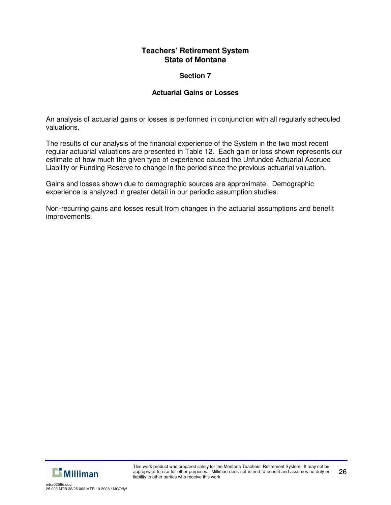## **Section 7**

## **Actuarial Gains or Losses**

An analysis of actuarial gains or losses is performed in conjunction with all regularly scheduled valuations.

The results of our analysis of the financial experience of the System in the two most recent regular actuarial valuations are presented in Table 12. Each gain or loss shown represents our estimate of how much the given type of experience caused the Unfunded Actuarial Accrued Liability or Funding Reserve to change in the period since the previous actuarial valuation.

Gains and losses shown due to demographic sources are approximate. Demographic experience is analyzed in greater detail in our periodic assumption studies.

Non-recurring gains and losses result from changes in the actuarial assumptions and benefit improvements.

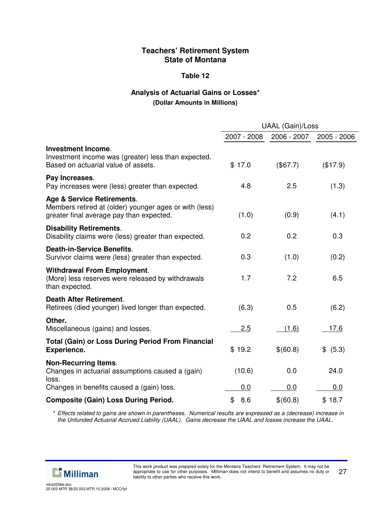### **Table 12**

## **Analysis of Actuarial Gains or Losses\* (Dollar Amounts in Millions)**

|                                                                                                                                  | <b>UAAL (Gain)/Loss</b> |             |             |  |
|----------------------------------------------------------------------------------------------------------------------------------|-------------------------|-------------|-------------|--|
|                                                                                                                                  | 2007 - 2008             | 2006 - 2007 | 2005 - 2006 |  |
| <b>Investment Income.</b><br>Investment income was (greater) less than expected.<br>Based on actuarial value of assets.          | \$17.0                  | (\$67.7)    | (\$17.9)    |  |
| Pay Increases.<br>Pay increases were (less) greater than expected.                                                               | 4.8                     | 2.5         | (1.3)       |  |
| Age & Service Retirements.<br>Members retired at (older) younger ages or with (less)<br>greater final average pay than expected. | (1.0)                   | (0.9)       | (4.1)       |  |
| <b>Disability Retirements.</b><br>Disability claims were (less) greater than expected.                                           | 0.2                     | 0.2         | 0.3         |  |
| <b>Death-in-Service Benefits.</b><br>Survivor claims were (less) greater than expected.                                          | 0.3                     | (1.0)       | (0.2)       |  |
| <b>Withdrawal From Employment.</b><br>(More) less reserves were released by withdrawals<br>than expected.                        | 1.7                     | 7.2         | 6.5         |  |
| <b>Death After Retirement.</b><br>Retirees (died younger) lived longer than expected.                                            | (6.3)                   | 0.5         | (6.2)       |  |
| Other.<br>Miscellaneous (gains) and losses.                                                                                      | 2.5                     | (1.6)       | 17.6        |  |
| <b>Total (Gain) or Loss During Period From Financial</b><br><b>Experience.</b>                                                   | \$19.2                  | \$(60.8)    | \$ (5.3)    |  |
| <b>Non-Recurring Items.</b><br>Changes in actuarial assumptions caused a (gain)<br>loss.                                         | (10.6)                  | 0.0         | 24.0        |  |
| Changes in benefits caused a (gain) loss.                                                                                        | 0.0                     | 0.0         | 0.0         |  |
| <b>Composite (Gain) Loss During Period.</b>                                                                                      | \$8.6                   | \$(60.8)    | \$18.7      |  |

\* Effects related to gains are shown in parentheses. Numerical results are expressed as a (decrease) increase in *the Unfunded Actuarial Accrued Liability (UAAL). Gains decrease the UAAL and losses increase the UAAL.*

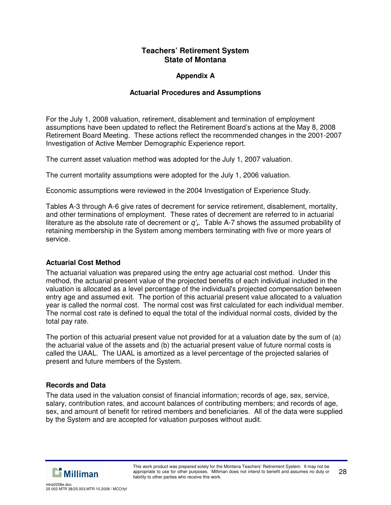## **Appendix A**

## **Actuarial Procedures and Assumptions**

For the July 1, 2008 valuation, retirement, disablement and termination of employment assumptions have been updated to reflect the Retirement Board's actions at the May 8, 2008 Retirement Board Meeting. These actions reflect the recommended changes in the 2001-2007 Investigation of Active Member Demographic Experience report.

The current asset valuation method was adopted for the July 1, 2007 valuation.

The current mortality assumptions were adopted for the July 1, 2006 valuation.

Economic assumptions were reviewed in the 2004 Investigation of Experience Study.

Tables A-3 through A-6 give rates of decrement for service retirement, disablement, mortality, and other terminations of employment. These rates of decrement are referred to in actuarial literature as the absolute rate of decrement or *q'x*. Table A-7 shows the assumed probability of retaining membership in the System among members terminating with five or more years of service.

#### **Actuarial Cost Method**

The actuarial valuation was prepared using the entry age actuarial cost method. Under this method, the actuarial present value of the projected benefits of each individual included in the valuation is allocated as a level percentage of the individual's projected compensation between entry age and assumed exit. The portion of this actuarial present value allocated to a valuation year is called the normal cost. The normal cost was first calculated for each individual member. The normal cost rate is defined to equal the total of the individual normal costs, divided by the total pay rate.

The portion of this actuarial present value not provided for at a valuation date by the sum of (a) the actuarial value of the assets and (b) the actuarial present value of future normal costs is called the UAAL. The UAAL is amortized as a level percentage of the projected salaries of present and future members of the System.

#### **Records and Data**

The data used in the valuation consist of financial information; records of age, sex, service, salary, contribution rates, and account balances of contributing members; and records of age, sex, and amount of benefit for retired members and beneficiaries. All of the data were supplied by the System and are accepted for valuation purposes without audit.

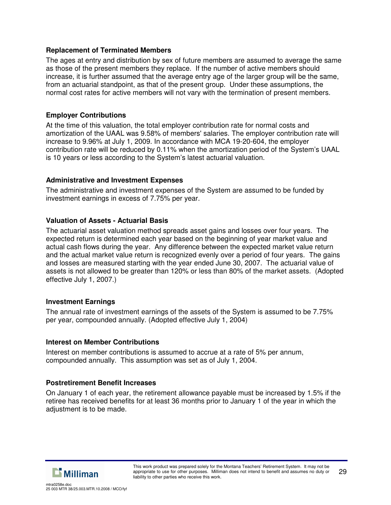### **Replacement of Terminated Members**

The ages at entry and distribution by sex of future members are assumed to average the same as those of the present members they replace. If the number of active members should increase, it is further assumed that the average entry age of the larger group will be the same, from an actuarial standpoint, as that of the present group. Under these assumptions, the normal cost rates for active members will not vary with the termination of present members.

## **Employer Contributions**

At the time of this valuation, the total employer contribution rate for normal costs and amortization of the UAAL was 9.58% of members' salaries. The employer contribution rate will increase to 9.96% at July 1, 2009. In accordance with MCA 19-20-604, the employer contribution rate will be reduced by 0.11% when the amortization period of the System's UAAL is 10 years or less according to the System's latest actuarial valuation.

## **Administrative and Investment Expenses**

The administrative and investment expenses of the System are assumed to be funded by investment earnings in excess of 7.75% per year.

## **Valuation of Assets - Actuarial Basis**

The actuarial asset valuation method spreads asset gains and losses over four years. The expected return is determined each year based on the beginning of year market value and actual cash flows during the year. Any difference between the expected market value return and the actual market value return is recognized evenly over a period of four years. The gains and losses are measured starting with the year ended June 30, 2007. The actuarial value of assets is not allowed to be greater than 120% or less than 80% of the market assets. (Adopted effective July 1, 2007.)

#### **Investment Earnings**

The annual rate of investment earnings of the assets of the System is assumed to be 7.75% per year, compounded annually. (Adopted effective July 1, 2004)

#### **Interest on Member Contributions**

Interest on member contributions is assumed to accrue at a rate of 5% per annum, compounded annually. This assumption was set as of July 1, 2004.

#### **Postretirement Benefit Increases**

On January 1 of each year, the retirement allowance payable must be increased by 1.5% if the retiree has received benefits for at least 36 months prior to January 1 of the year in which the adjustment is to be made.

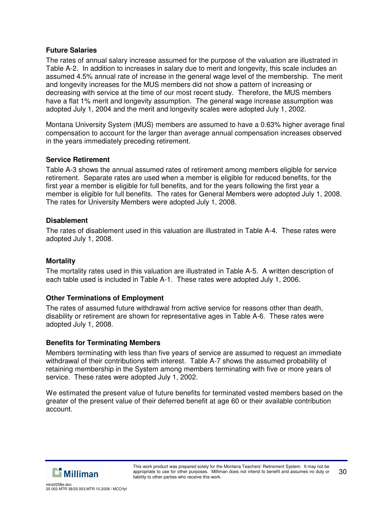### **Future Salaries**

The rates of annual salary increase assumed for the purpose of the valuation are illustrated in Table A-2. In addition to increases in salary due to merit and longevity, this scale includes an assumed 4.5% annual rate of increase in the general wage level of the membership. The merit and longevity increases for the MUS members did not show a pattern of increasing or decreasing with service at the time of our most recent study. Therefore, the MUS members have a flat 1% merit and longevity assumption. The general wage increase assumption was adopted July 1, 2004 and the merit and longevity scales were adopted July 1, 2002.

Montana University System (MUS) members are assumed to have a 0.63% higher average final compensation to account for the larger than average annual compensation increases observed in the years immediately preceding retirement.

#### **Service Retirement**

Table A-3 shows the annual assumed rates of retirement among members eligible for service retirement. Separate rates are used when a member is eligible for reduced benefits, for the first year a member is eligible for full benefits, and for the years following the first year a member is eligible for full benefits. The rates for General Members were adopted July 1, 2008. The rates for University Members were adopted July 1, 2008.

#### **Disablement**

The rates of disablement used in this valuation are illustrated in Table A-4. These rates were adopted July 1, 2008.

#### **Mortality**

The mortality rates used in this valuation are illustrated in Table A-5. A written description of each table used is included in Table A-1. These rates were adopted July 1, 2006.

#### **Other Terminations of Employment**

The rates of assumed future withdrawal from active service for reasons other than death, disability or retirement are shown for representative ages in Table A-6. These rates were adopted July 1, 2008.

#### **Benefits for Terminating Members**

Members terminating with less than five years of service are assumed to request an immediate withdrawal of their contributions with interest. Table A-7 shows the assumed probability of retaining membership in the System among members terminating with five or more years of service. These rates were adopted July 1, 2002.

We estimated the present value of future benefits for terminated vested members based on the greater of the present value of their deferred benefit at age 60 or their available contribution account.

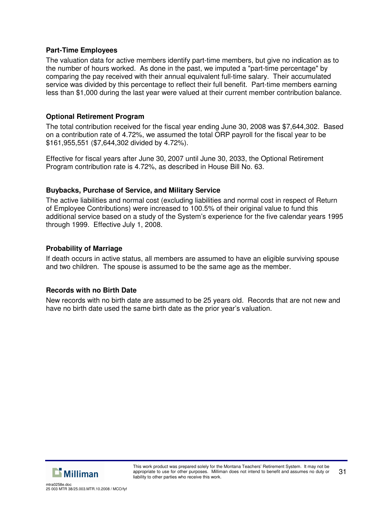#### **Part-Time Employees**

The valuation data for active members identify part-time members, but give no indication as to the number of hours worked. As done in the past, we imputed a "part-time percentage" by comparing the pay received with their annual equivalent full-time salary. Their accumulated service was divided by this percentage to reflect their full benefit. Part-time members earning less than \$1,000 during the last year were valued at their current member contribution balance.

#### **Optional Retirement Program**

The total contribution received for the fiscal year ending June 30, 2008 was \$7,644,302. Based on a contribution rate of 4.72%, we assumed the total ORP payroll for the fiscal year to be \$161,955,551 (\$7,644,302 divided by 4.72%).

Effective for fiscal years after June 30, 2007 until June 30, 2033, the Optional Retirement Program contribution rate is 4.72%, as described in House Bill No. 63.

#### **Buybacks, Purchase of Service, and Military Service**

The active liabilities and normal cost (excluding liabilities and normal cost in respect of Return of Employee Contributions) were increased to 100.5% of their original value to fund this additional service based on a study of the System's experience for the five calendar years 1995 through 1999. Effective July 1, 2008.

#### **Probability of Marriage**

If death occurs in active status, all members are assumed to have an eligible surviving spouse and two children. The spouse is assumed to be the same age as the member.

#### **Records with no Birth Date**

New records with no birth date are assumed to be 25 years old. Records that are not new and have no birth date used the same birth date as the prior year's valuation.

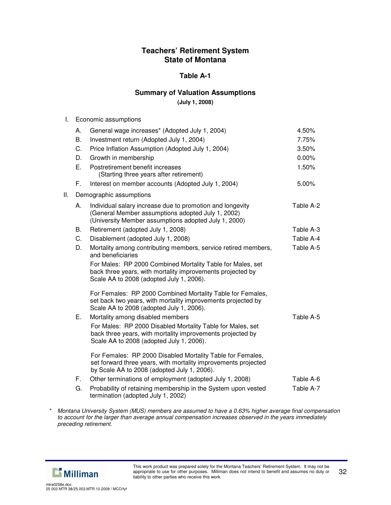### **Table A-1**

### **Summary of Valuation Assumptions**

**(July 1, 2008)**

| I. | Economic assumptions |
|----|----------------------|
|----|----------------------|

|    |                                                                                                                                                                             | 4.50%                                                                                                                                                                                                                                                                             |
|----|-----------------------------------------------------------------------------------------------------------------------------------------------------------------------------|-----------------------------------------------------------------------------------------------------------------------------------------------------------------------------------------------------------------------------------------------------------------------------------|
|    |                                                                                                                                                                             | 7.75%                                                                                                                                                                                                                                                                             |
|    |                                                                                                                                                                             | 3.50%                                                                                                                                                                                                                                                                             |
|    |                                                                                                                                                                             | 0.00%                                                                                                                                                                                                                                                                             |
|    |                                                                                                                                                                             | 1.50%                                                                                                                                                                                                                                                                             |
|    |                                                                                                                                                                             |                                                                                                                                                                                                                                                                                   |
| F. | Interest on member accounts (Adopted July 1, 2004)                                                                                                                          | 5.00%                                                                                                                                                                                                                                                                             |
|    |                                                                                                                                                                             |                                                                                                                                                                                                                                                                                   |
| А. | Individual salary increase due to promotion and longevity<br>(General Member assumptions adopted July 1, 2002)<br>(University Member assumptions adopted July 1, 2000)      | Table A-2                                                                                                                                                                                                                                                                         |
| В. | Retirement (adopted July 1, 2008)                                                                                                                                           | Table A-3                                                                                                                                                                                                                                                                         |
| C. | Disablement (adopted July 1, 2008)                                                                                                                                          | Table A-4                                                                                                                                                                                                                                                                         |
| D. | Mortality among contributing members, service retired members,<br>and beneficiaries                                                                                         | Table A-5                                                                                                                                                                                                                                                                         |
|    | For Males: RP 2000 Combined Mortality Table for Males, set<br>back three years, with mortality improvements projected by<br>Scale AA to 2008 (adopted July 1, 2006).        |                                                                                                                                                                                                                                                                                   |
|    | For Females: RP 2000 Combined Mortality Table for Females,<br>set back two years, with mortality improvements projected by<br>Scale AA to 2008 (adopted July 1, 2006).      |                                                                                                                                                                                                                                                                                   |
| Е. | Mortality among disabled members                                                                                                                                            | Table A-5                                                                                                                                                                                                                                                                         |
|    | For Males: RP 2000 Disabled Mortality Table for Males, set<br>back three years, with mortality improvements projected by<br>Scale AA to 2008 (adopted July 1, 2006).        |                                                                                                                                                                                                                                                                                   |
|    | For Females: RP 2000 Disabled Mortality Table for Females,<br>set forward three years, with mortality improvements projected<br>by Scale AA to 2008 (adopted July 1, 2006). |                                                                                                                                                                                                                                                                                   |
| F. | Other terminations of employment (adopted July 1, 2008)                                                                                                                     | Table A-6                                                                                                                                                                                                                                                                         |
| G. | Probability of retaining membership in the System upon vested<br>termination (adopted July 1, 2002)                                                                         | Table A-7                                                                                                                                                                                                                                                                         |
|    | А.<br><b>B.</b><br>C.<br>D.<br>Ε.                                                                                                                                           | General wage increases* (Adopted July 1, 2004)<br>Investment return (Adopted July 1, 2004)<br>Price Inflation Assumption (Adopted July 1, 2004)<br>Growth in membership<br>Postretirement benefit increases<br>(Starting three years after retirement)<br>Demographic assumptions |

*\* Montana University System (MUS) members are assumed to have a 0.63% higher average final compensation to account for the larger than average annual compensation increases observed in the years immediately preceding retirement.*

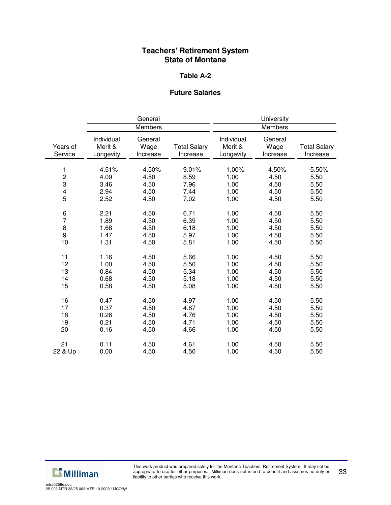#### **Table A-2**

## **Future Salaries**

|                                                    | General                               |                                       |                                       | University                            |                                       |                                       |
|----------------------------------------------------|---------------------------------------|---------------------------------------|---------------------------------------|---------------------------------------|---------------------------------------|---------------------------------------|
|                                                    | Members                               |                                       | Members                               |                                       |                                       |                                       |
| Years of<br>Service                                | Individual<br>Merit &<br>Longevity    | General<br>Wage<br>Increase           | <b>Total Salary</b><br>Increase       | Individual<br>Merit &<br>Longevity    | General<br>Wage<br>Increase           | <b>Total Salary</b><br>Increase       |
| 1<br>$\frac{2}{3}$<br>$\overline{\mathbf{4}}$<br>5 | 4.51%<br>4.09<br>3.46<br>2.94<br>2.52 | 4.50%<br>4.50<br>4.50<br>4.50<br>4.50 | 9.01%<br>8.59<br>7.96<br>7.44<br>7.02 | 1.00%<br>1.00<br>1.00<br>1.00<br>1.00 | 4.50%<br>4.50<br>4.50<br>4.50<br>4.50 | 5.50%<br>5.50<br>5.50<br>5.50<br>5.50 |
| $\frac{6}{7}$<br>8<br>9<br>10                      | 2.21<br>1.89<br>1.68<br>1.47<br>1.31  | 4.50<br>4.50<br>4.50<br>4.50<br>4.50  | 6.71<br>6.39<br>6.18<br>5.97<br>5.81  | 1.00<br>1.00<br>1.00<br>1.00<br>1.00  | 4.50<br>4.50<br>4.50<br>4.50<br>4.50  | 5.50<br>5.50<br>5.50<br>5.50<br>5.50  |
| 11<br>12<br>13<br>14<br>15                         | 1.16<br>1.00<br>0.84<br>0.68<br>0.58  | 4.50<br>4.50<br>4.50<br>4.50<br>4.50  | 5.66<br>5.50<br>5.34<br>5.18<br>5.08  | 1.00<br>1.00<br>1.00<br>1.00<br>1.00  | 4.50<br>4.50<br>4.50<br>4.50<br>4.50  | 5.50<br>5.50<br>5.50<br>5.50<br>5.50  |
| 16<br>17<br>18<br>19<br>20                         | 0.47<br>0.37<br>0.26<br>0.21<br>0.16  | 4.50<br>4.50<br>4.50<br>4.50<br>4.50  | 4.97<br>4.87<br>4.76<br>4.71<br>4.66  | 1.00<br>1.00<br>1.00<br>1.00<br>1.00  | 4.50<br>4.50<br>4.50<br>4.50<br>4.50  | 5.50<br>5.50<br>5.50<br>5.50<br>5.50  |
| 21<br>22 & Up                                      | 0.11<br>0.00                          | 4.50<br>4.50                          | 4.61<br>4.50                          | 1.00<br>1.00                          | 4.50<br>4.50                          | 5.50<br>5.50                          |

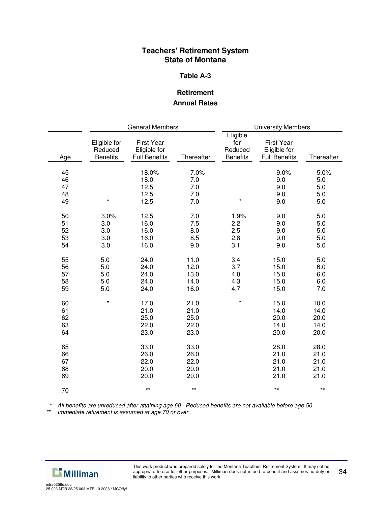#### **Table A-3**

## **Retirement Annual Rates**

|                            | <b>General Members</b><br><b>University Members</b> |                                                           |                                      |                                               |                                                           |                                      |
|----------------------------|-----------------------------------------------------|-----------------------------------------------------------|--------------------------------------|-----------------------------------------------|-----------------------------------------------------------|--------------------------------------|
| Age                        | Eligible for<br>Reduced<br><b>Benefits</b>          | <b>First Year</b><br>Eligible for<br><b>Full Benefits</b> | Thereafter                           | Eligible<br>for<br>Reduced<br><b>Benefits</b> | <b>First Year</b><br>Eligible for<br><b>Full Benefits</b> | Thereafter                           |
| 45<br>46<br>47<br>48<br>49 | $\star$                                             | 18.0%<br>18.0<br>12.5<br>12.5<br>12.5                     | 7.0%<br>7.0<br>7.0<br>7.0<br>7.0     | $\star$                                       | 9.0%<br>9.0<br>9.0<br>9.0<br>9.0                          | 5.0%<br>5.0<br>5.0<br>5.0<br>5.0     |
| 50<br>51<br>52<br>53<br>54 | 3.0%<br>3.0<br>3.0<br>3.0<br>3.0                    | 12.5<br>16.0<br>16.0<br>16.0<br>16.0                      | 7.0<br>7.5<br>8.0<br>8.5<br>9.0      | 1.9%<br>2.2<br>2.5<br>2.8<br>3.1              | 9.0<br>9.0<br>9.0<br>9.0<br>9.0                           | 5.0<br>5.0<br>5.0<br>5.0<br>5.0      |
| 55<br>56<br>57<br>58<br>59 | 5.0<br>5.0<br>5.0<br>5.0<br>5.0                     | 24.0<br>24.0<br>24.0<br>24.0<br>24.0                      | 11.0<br>12.0<br>13.0<br>14.0<br>16.0 | 3.4<br>3.7<br>4.0<br>4.3<br>4.7               | 15.0<br>15.0<br>15.0<br>15.0<br>15.0                      | 5.0<br>6.0<br>6.0<br>6.0<br>7.0      |
| 60<br>61<br>62<br>63<br>64 | $\star$                                             | 17.0<br>21.0<br>25.0<br>22.0<br>23.0                      | 21.0<br>21.0<br>25.0<br>22.0<br>23.0 | $\star$                                       | 15.0<br>14.0<br>20.0<br>14.0<br>20.0                      | 10.0<br>14.0<br>20.0<br>14.0<br>20.0 |
| 65<br>66<br>67<br>68<br>69 |                                                     | 33.0<br>26.0<br>22.0<br>20.0<br>20.0                      | 33.0<br>26.0<br>22.0<br>20.0<br>20.0 |                                               | 28.0<br>21.0<br>21.0<br>21.0<br>21.0                      | 28.0<br>21.0<br>21.0<br>21.0<br>21.0 |
| 70                         |                                                     | $***$                                                     | $***$                                |                                               | $***$                                                     | $\star\star$                         |

*\* All benefits are unreduced after attaining age 60. Reduced benefits are not available before age 50.*

*\*\* Immediate retirement is assumed at age 70 or over.*

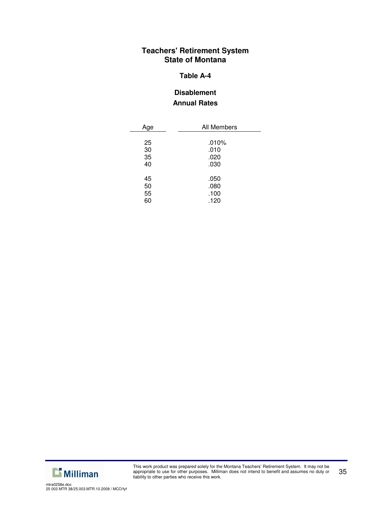#### **Table A-4**

## **Disablement Annual Rates**

| All Members |  |  |
|-------------|--|--|
| $.010\%$    |  |  |
| .010        |  |  |
| .020        |  |  |
| .030        |  |  |
| .050        |  |  |
| .080        |  |  |
| .100        |  |  |
| .120        |  |  |
|             |  |  |

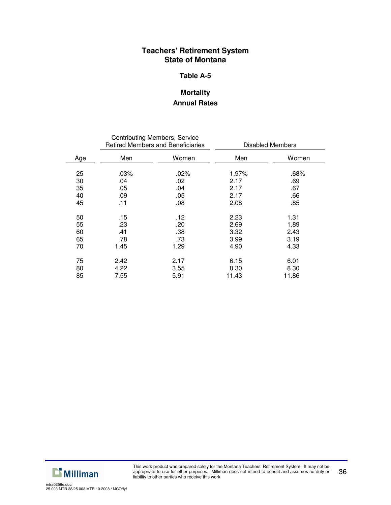#### **Table A-5**

## **Mortality Annual Rates**

|     |         | <b>Contributing Members, Service</b><br><b>Retired Members and Beneficiaries</b> | <b>Disabled Members</b> |       |  |
|-----|---------|----------------------------------------------------------------------------------|-------------------------|-------|--|
| Age | Men     | Women                                                                            | Men                     | Women |  |
| 25  | $.03\%$ | .02%                                                                             | 1.97%                   | .68%  |  |
| 30  | .04     | .02                                                                              | 2.17                    | .69   |  |
| 35  | .05     | .04                                                                              | 2.17                    | .67   |  |
| 40  | .09     | .05                                                                              | 2.17                    | .66   |  |
| 45  | .11     | .08                                                                              | 2.08                    | .85   |  |
| 50  | .15     | .12                                                                              | 2.23                    | 1.31  |  |
| 55  | .23     | .20                                                                              | 2.69                    | 1.89  |  |
| 60  | .41     | .38                                                                              | 3.32                    | 2.43  |  |
| 65  | .78     | .73                                                                              | 3.99                    | 3.19  |  |
| 70  | 1.45    | 1.29                                                                             | 4.90                    | 4.33  |  |
| 75  | 2.42    | 2.17                                                                             | 6.15                    | 6.01  |  |
| 80  | 4.22    | 3.55                                                                             | 8.30                    | 8.30  |  |
| 85  | 7.55    | 5.91                                                                             | 11.43                   | 11.86 |  |

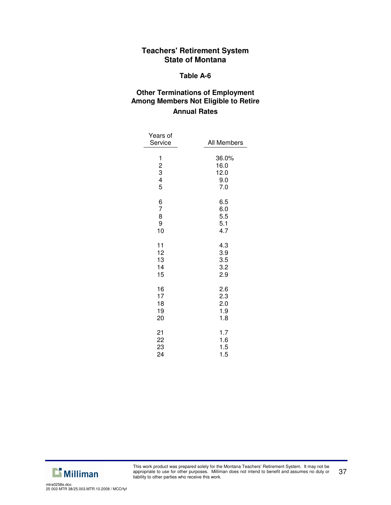#### **Table A-6**

## **Other Terminations of Employment Among Members Not Eligible to Retire Annual Rates**

| Years of<br>Service                                  | All Members                         |
|------------------------------------------------------|-------------------------------------|
| $\begin{array}{c} 1 \\ 2 \\ 3 \\ 4 \end{array}$<br>5 | 36.0%<br>16.0<br>12.0<br>9.0<br>7.0 |
| 6                                                    | 6.5                                 |
| 7                                                    | 6.0                                 |
| 8                                                    | 5.5                                 |
| 9                                                    | 5.1                                 |
| 10                                                   | 4.7                                 |
| 11                                                   | 4.3                                 |
| 12                                                   | 3.9                                 |
| 13                                                   | 3.5                                 |
| 14                                                   | 3.2                                 |
| 15                                                   | 2.9                                 |
| 16                                                   | 2.6                                 |
| 17                                                   | 2.3                                 |
| 18                                                   | 2.0                                 |
| 19                                                   | 1.9                                 |
| 20                                                   | 1.8                                 |
| 21                                                   | 1.7                                 |
| 22                                                   | 1.6                                 |
| 23                                                   | 1.5                                 |
| 24                                                   | 1.5                                 |

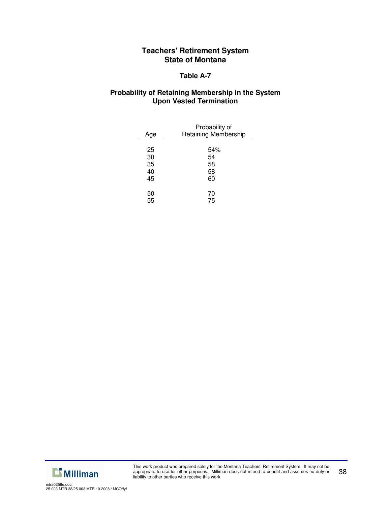## **Table A-7**

## **Probability of Retaining Membership in the System Upon Vested Termination**

| Age | Probability of<br>Retaining Membership |
|-----|----------------------------------------|
|     |                                        |
| 25  | 54%                                    |
| 30  | 54                                     |
| 35  | 58                                     |
| 40  | 58                                     |
| 45  | 60                                     |
| 50  | 70                                     |
|     |                                        |
| 55  | 75                                     |

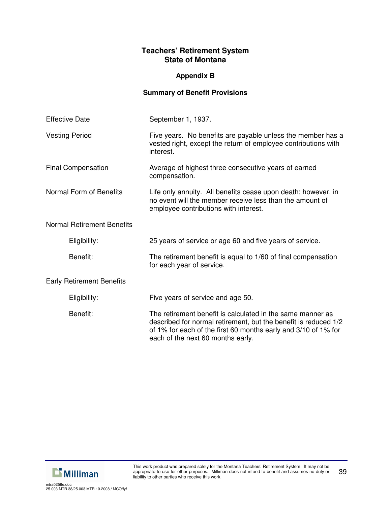## **Appendix B**

## **Summary of Benefit Provisions**

| <b>Effective Date</b>             | September 1, 1937.                                                                                                                                                                                                                   |  |  |  |
|-----------------------------------|--------------------------------------------------------------------------------------------------------------------------------------------------------------------------------------------------------------------------------------|--|--|--|
| <b>Vesting Period</b>             | Five years. No benefits are payable unless the member has a<br>vested right, except the return of employee contributions with<br>interest.                                                                                           |  |  |  |
| <b>Final Compensation</b>         | Average of highest three consecutive years of earned<br>compensation.                                                                                                                                                                |  |  |  |
| Normal Form of Benefits           | Life only annuity. All benefits cease upon death; however, in<br>no event will the member receive less than the amount of<br>employee contributions with interest.                                                                   |  |  |  |
| <b>Normal Retirement Benefits</b> |                                                                                                                                                                                                                                      |  |  |  |
| Eligibility:                      | 25 years of service or age 60 and five years of service.                                                                                                                                                                             |  |  |  |
| Benefit:                          | The retirement benefit is equal to 1/60 of final compensation<br>for each year of service.                                                                                                                                           |  |  |  |
| <b>Early Retirement Benefits</b>  |                                                                                                                                                                                                                                      |  |  |  |
| Eligibility:                      | Five years of service and age 50.                                                                                                                                                                                                    |  |  |  |
| Benefit:                          | The retirement benefit is calculated in the same manner as<br>described for normal retirement, but the benefit is reduced 1/2<br>of 1% for each of the first 60 months early and 3/10 of 1% for<br>each of the next 60 months early. |  |  |  |

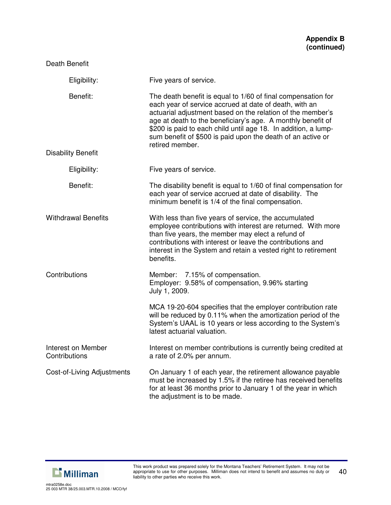| Eligibility:                        | Five years of service.                                                                                                                                                                                                                                                                                                                                                                                  |
|-------------------------------------|---------------------------------------------------------------------------------------------------------------------------------------------------------------------------------------------------------------------------------------------------------------------------------------------------------------------------------------------------------------------------------------------------------|
| Benefit:                            | The death benefit is equal to 1/60 of final compensation for<br>each year of service accrued at date of death, with an<br>actuarial adjustment based on the relation of the member's<br>age at death to the beneficiary's age. A monthly benefit of<br>\$200 is paid to each child until age 18. In addition, a lump-<br>sum benefit of \$500 is paid upon the death of an active or<br>retired member. |
| <b>Disability Benefit</b>           |                                                                                                                                                                                                                                                                                                                                                                                                         |
| Eligibility:                        | Five years of service.                                                                                                                                                                                                                                                                                                                                                                                  |
| Benefit:                            | The disability benefit is equal to 1/60 of final compensation for<br>each year of service accrued at date of disability. The<br>minimum benefit is 1/4 of the final compensation.                                                                                                                                                                                                                       |
| <b>Withdrawal Benefits</b>          | With less than five years of service, the accumulated<br>employee contributions with interest are returned. With more<br>than five years, the member may elect a refund of<br>contributions with interest or leave the contributions and<br>interest in the System and retain a vested right to retirement<br>benefits.                                                                                 |
| Contributions                       | Member: 7.15% of compensation.<br>Employer: 9.58% of compensation, 9.96% starting<br>July 1, 2009.                                                                                                                                                                                                                                                                                                      |
|                                     | MCA 19-20-604 specifies that the employer contribution rate<br>will be reduced by 0.11% when the amortization period of the<br>System's UAAL is 10 years or less according to the System's<br>latest actuarial valuation.                                                                                                                                                                               |
| Interest on Member<br>Contributions | Interest on member contributions is currently being credited at<br>a rate of 2.0% per annum.                                                                                                                                                                                                                                                                                                            |
| <b>Cost-of-Living Adjustments</b>   | On January 1 of each year, the retirement allowance payable<br>must be increased by 1.5% if the retiree has received benefits<br>for at least 36 months prior to January 1 of the year in which<br>the adjustment is to be made.                                                                                                                                                                        |

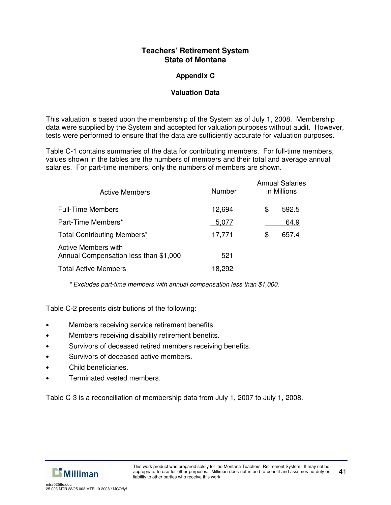## **Appendix C**

## **Valuation Data**

This valuation is based upon the membership of the System as of July 1, 2008. Membership data were supplied by the System and accepted for valuation purposes without audit. However, tests were performed to ensure that the data are sufficiently accurate for valuation purposes.

Table C-1 contains summaries of the data for contributing members. For full-time members, values shown in the tables are the numbers of members and their total and average annual salaries. For part-time members, only the numbers of members are shown.

| <b>Active Members</b>                                        | Number | <b>Annual Salaries</b><br>in Millions |  |  |
|--------------------------------------------------------------|--------|---------------------------------------|--|--|
| <b>Full-Time Members</b>                                     | 12,694 | \$<br>592.5                           |  |  |
| Part-Time Members*                                           | 5,077  | 64.9                                  |  |  |
| Total Contributing Members*                                  | 17,771 | \$<br>657.4                           |  |  |
| Active Members with<br>Annual Compensation less than \$1,000 | 521    |                                       |  |  |
| <b>Total Active Members</b>                                  | 18,292 |                                       |  |  |

*\* Excludes part-time members with annual compensation less than \$1,000.*

Table C-2 presents distributions of the following:

- Members receiving service retirement benefits.
- Members receiving disability retirement benefits.
- Survivors of deceased retired members receiving benefits.
- Survivors of deceased active members.
- Child beneficiaries.
- Terminated vested members.

Table C-3 is a reconciliation of membership data from July 1, 2007 to July 1, 2008.

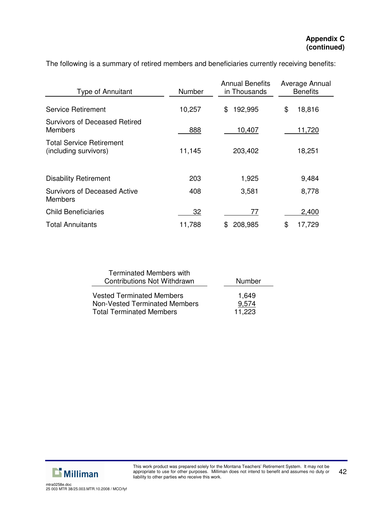| <b>Type of Annuitant</b>                                 | Number | <b>Annual Benefits</b><br>in Thousands | Average Annual<br><b>Benefits</b> |
|----------------------------------------------------------|--------|----------------------------------------|-----------------------------------|
|                                                          |        |                                        |                                   |
| <b>Service Retirement</b>                                | 10,257 | 192,995<br>\$.                         | \$<br>18,816                      |
| <b>Survivors of Deceased Retired</b><br><b>Members</b>   | 888    | 10,407                                 | 11,720                            |
| <b>Total Service Retirement</b><br>(including survivors) | 11,145 | 203,402                                | 18,251                            |
| <b>Disability Retirement</b>                             | 203    | 1,925                                  | 9,484                             |
| <b>Survivors of Deceased Active</b><br><b>Members</b>    | 408    | 3,581                                  | 8,778                             |
| <b>Child Beneficiaries</b>                               | 32     | 77                                     | 2,400                             |
| <b>Total Annuitants</b>                                  | 11,788 | 208,985<br>\$.                         | \$<br>17,729                      |

The following is a summary of retired members and beneficiaries currently receiving benefits:

| <b>Terminated Members with</b><br><b>Contributions Not Withdrawn</b>     | Number         |
|--------------------------------------------------------------------------|----------------|
| <b>Vested Terminated Members</b><br><b>Non-Vested Terminated Members</b> | 1,649<br>9,574 |
| <b>Total Terminated Members</b>                                          | 11.223         |

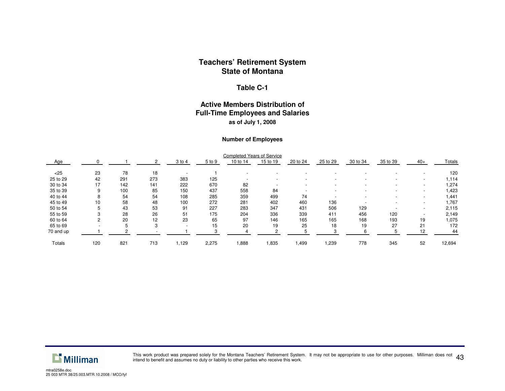#### **Table C-1**

#### **Active Members Distribution of Full-Time Employees and Salaries as of July 1, 2008**

#### **Number of Employees**

|               |     |     |     |                          |        | <b>Completed Years of Service</b> |          |          |          |          |          |                          |        |
|---------------|-----|-----|-----|--------------------------|--------|-----------------------------------|----------|----------|----------|----------|----------|--------------------------|--------|
| Age           |     |     |     | 3 to 4                   | 5 to 9 | 10 to 14                          | 15 to 19 | 20 to 24 | 25 to 29 | 30 to 34 | 35 to 39 | $40+$                    | Totals |
| < 25          | 23  | 78  | 18  |                          |        |                                   |          |          |          |          |          | -                        | 120    |
| 25 to 29      | 42  | 291 | 273 | 383                      | 125    | $\overline{\phantom{a}}$          |          |          | ۰        |          | -        | ۰                        | 1,114  |
| 30 to 34      | 17  | 142 | 141 | 222                      | 670    | 82                                |          |          | $\sim$   |          | -        | $\overline{\phantom{a}}$ | 1,274  |
| 35 to 39      | 9   | 100 | 85  | 150                      | 437    | 558                               | 84       |          | ۰        |          | -        | $\overline{\phantom{a}}$ | I.423  |
| 40 to 44      | 8   | 54  | 54  | 108                      | 285    | 359                               | 499      | 74       | ۰        |          | -        | $\overline{\phantom{a}}$ | 441. ا |
| 45 to 49      | 10  | 58  | 48  | 100                      | 272    | 281                               | 402      | 460      | 136      |          | -        | $\overline{\phantom{a}}$ | 1,767  |
| 50 to 54      | 5   | 43  | 53  | 91                       | 227    | 283                               | 347      | 431      | 506      | 129      |          | ٠                        | 2,115  |
| 55 to 59      |     | 28  | 26  | 51                       | 175    | 204                               | 336      | 339      | 411      | 456      | 120      | $\overline{\phantom{a}}$ | 2,149  |
| 60 to 64      | 2   | 20  | 12  | 23                       | 65     | 97                                | 146      | 165      | 165      | 168      | 193      | 19                       | 1,075  |
| 65 to 69      |     | 5   | 3   | $\overline{\phantom{a}}$ | 15     | 20                                | 19       | 25       | 18       | 19       | 27       | 21                       | 172    |
| 70 and up     |     |     |     |                          |        |                                   |          |          | 3        |          |          | 12                       | 44     |
| <b>Totals</b> | 120 | 821 | 713 | 1,129                    | 2,275  | 888.                              | 1,835    | 1,499    | 1,239    | 778      | 345      | 52                       | 12,694 |



This work product was prepared solely for the Montana Teachers' Retirement System. It may not be appropriate to use for other purposes. Milliman does not  $\ 43$ intend to benefit and assumes no duty or liability to other parties who receive this work.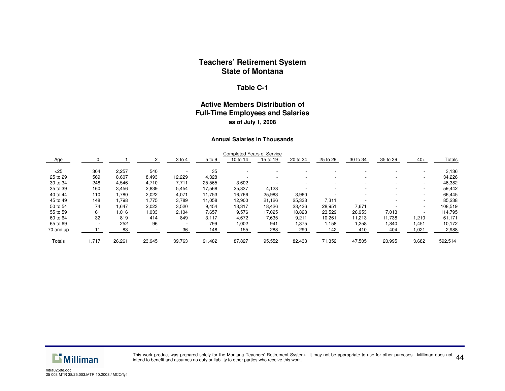#### **Table C-1**

#### **Active Members Distribution of Full-Time Employees and Salaries as of July 1, 2008**

#### **Annual Salaries in Thousands**

|           |                          |        |        |                          |        | <b>Completed Years of Service</b> |          |                          |          |          |                          |                          |         |
|-----------|--------------------------|--------|--------|--------------------------|--------|-----------------------------------|----------|--------------------------|----------|----------|--------------------------|--------------------------|---------|
| Age       |                          |        |        | 3 to 4                   | 5 to 9 | 10 to 14                          | 15 to 19 | 20 to 24                 | 25 to 29 | 30 to 34 | 35 to 39                 | $40+$                    | Totals  |
| $<$ 25    | 304                      | 2,257  | 540    |                          | 35     |                                   |          |                          |          |          |                          | -                        | 3,136   |
| 25 to 29  | 569                      | 8,607  | 8,493  | 12,229                   | 4,328  |                                   |          | $\overline{\phantom{0}}$ |          |          | $\overline{\phantom{a}}$ | $\overline{\phantom{0}}$ | 34,226  |
| 30 to 34  | 248                      | 4,546  | 4,710  | 7,711                    | 25,565 | 3,602                             |          |                          |          |          |                          | $\overline{\phantom{0}}$ | 46,382  |
| 35 to 39  | 160                      | 3,456  | 2,839  | 5,454                    | 17,568 | 25,837                            | 4,128    |                          |          |          | $\overline{\phantom{a}}$ | $\overline{\phantom{0}}$ | 59,442  |
| 40 to 44  | 110                      | 1,780  | 2,022  | 4,071                    | 11,753 | 16,766                            | 25,983   | 3,960                    |          |          | $\overline{\phantom{a}}$ | $\overline{\phantom{a}}$ | 66,445  |
| 45 to 49  | 148                      | 1,798  | 1,775  | 3,789                    | 11,058 | 12,900                            | 21,126   | 25,333                   | 7,311    |          | $\overline{\phantom{a}}$ | $\overline{\phantom{0}}$ | 85,238  |
| 50 to 54  | 74                       | 1,647  | 2,023  | 3,520                    | 9,454  | 13,317                            | 18,426   | 23,436                   | 28,951   | 7,671    |                          | $\overline{\phantom{0}}$ | 108,519 |
| 55 to 59  | 61                       | 1,016  | 1,033  | 2,104                    | 7,657  | 9,576                             | 17,025   | 18,828                   | 23,529   | 26,953   | 7,013                    | -                        | 114,795 |
| 60 to 64  | 32                       | 819    | 414    | 849                      | 3,117  | 4,672                             | 7,635    | 9,211                    | 10,261   | 11,213   | 11,738                   | 1,210                    | 61,171  |
| 65 to 69  | $\overline{\phantom{a}}$ | 252    | 96     | $\overline{\phantom{a}}$ | 799    | 1,002                             | 941      | 1,375                    | 1,158    | 1,258    | 1,840                    | 1,451                    | 10,172  |
| 70 and up |                          | 83     |        | 36                       | 148    | 155                               | 288      | 290                      | 142      | 410      | 404                      | 1,021                    | 2,988   |
| Totals    | 1,717                    | 26,261 | 23,945 | 39,763                   | 91,482 | 87,827                            | 95,552   | 82,433                   | 71,352   | 47,505   | 20,995                   | 3,682                    | 592,514 |



This work product was prepared solely for the Montana Teachers' Retirement System. It may not be appropriate to use for other purposes. Milliman does not  $\ 44$ <br>intend to benefit and assumes no duty or liability to other p intend to benefit and assumes no duty or liability to other parties who receive this work.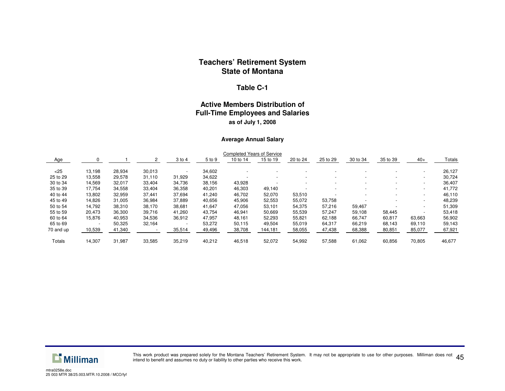#### **Table C-1**

#### **Active Members Distribution of Full-Time Employees and Salaries as of July 1, 2008**

#### **Average Annual Salary**

|           |                          |        |        |        |        | <b>Completed Years of Service</b> |          |                          |          |          |                          |                          |        |
|-----------|--------------------------|--------|--------|--------|--------|-----------------------------------|----------|--------------------------|----------|----------|--------------------------|--------------------------|--------|
| Age       |                          |        |        | 3 to 4 | 5 to 9 | 10 to 14                          | 15 to 19 | 20 to 24                 | 25 to 29 | 30 to 34 | 35 to 39                 | $40+$                    | Totals |
| $<$ 25    | 13,198                   | 28,934 | 30,013 |        | 34,602 |                                   |          |                          |          |          |                          | -                        | 26,127 |
| 25 to 29  | 13,558                   | 29,578 | 31,110 | 31,929 | 34,622 |                                   |          | $\overline{\phantom{0}}$ |          |          | $\overline{\phantom{a}}$ | $\overline{\phantom{a}}$ | 30,724 |
| 30 to 34  | 14,569                   | 32,017 | 33,404 | 34,736 | 38,156 | 43,928                            |          |                          |          |          | -                        | ۰                        | 36,407 |
| 35 to 39  | 17,754                   | 34,558 | 33,404 | 36,358 | 40,201 | 46,303                            | 49,140   |                          |          |          |                          | -                        | 41,772 |
| 40 to 44  | 13,802                   | 32,959 | 37,441 | 37,694 | 41,240 | 46,702                            | 52,070   | 53,510                   |          |          | $\overline{\phantom{a}}$ | $\overline{\phantom{0}}$ | 46,110 |
| 45 to 49  | 14,826                   | 31,005 | 36,984 | 37,889 | 40,656 | 45,906                            | 52,553   | 55,072                   | 53,758   |          | $\overline{\phantom{a}}$ | ٠                        | 48,239 |
| 50 to 54  | 14,792                   | 38,310 | 38,170 | 38,681 | 41,647 | 47,056                            | 53,101   | 54,375                   | 57,216   | 59,467   |                          | -                        | 51,309 |
| 55 to 59  | 20,473                   | 36,300 | 39,716 | 41,260 | 43,754 | 46,941                            | 50,669   | 55,539                   | 57,247   | 59,108   | 58,445                   | -                        | 53,418 |
| 60 to 64  | 15,876                   | 40,953 | 34,536 | 36,912 | 47,957 | 48,161                            | 52,293   | 55,821                   | 62,188   | 66,747   | 60,817                   | 63,663                   | 56,902 |
| 65 to 69  | $\overline{\phantom{a}}$ | 50,325 | 32,164 |        | 53,272 | 50,115                            | 49,504   | 55,019                   | 64,317   | 66,219   | 68.143                   | 69,110                   | 59,143 |
| 70 and up | 10,539                   | 41,340 |        | 35,514 | 49,496 | 38,708                            | 144,181  | 58,055                   | 47,438   | 68,388   | 80,851                   | 85,077                   | 67,921 |
| Totals    | 14,307                   | 31,987 | 33,585 | 35,219 | 40,212 | 46,518                            | 52,072   | 54,992                   | 57,588   | 61,062   | 60,856                   | 70,805                   | 46,677 |



This work product was prepared solely for the Montana Teachers' Retirement System. It may not be appropriate to use for other purposes. Milliman does not  $\ 45$ intend to benefit and assumes no duty or liability to other parties who receive this work.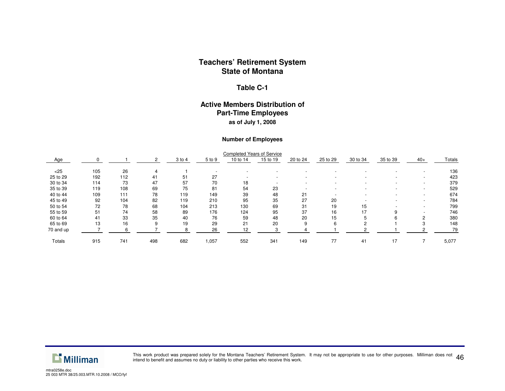#### **Table C-1**

#### **Active Members Distribution of Part-Time Employees as of July 1, 2008**

#### **Number of Employees**

|           |     |     |     |        |        | <b>Completed Years of Service</b> |          |          |                          |          |          |                          |        |
|-----------|-----|-----|-----|--------|--------|-----------------------------------|----------|----------|--------------------------|----------|----------|--------------------------|--------|
| Age       |     |     |     | 3 to 4 | 5 to 9 | 10 to 14                          | 15 to 19 | 20 to 24 | 25 to 29                 | 30 to 34 | 35 to 39 | $40+$                    | Totals |
| $<$ 25    | 105 | 26  |     |        |        |                                   |          |          |                          |          |          |                          | 136    |
| 25 to 29  | 192 | 112 | 41  | 51     | 27     |                                   |          |          | $\overline{\phantom{a}}$ |          |          | $\overline{\phantom{a}}$ | 423    |
| 30 to 34  | 114 | 73  | 47  | 57     | 70     | 18                                |          |          | -                        |          |          | $\overline{\phantom{a}}$ | 379    |
| 35 to 39  | 119 | 108 | 69  | 75     | 81     | 54                                | 23       |          | -                        |          |          | $\overline{\phantom{a}}$ | 529    |
| 40 to 44  | 109 | 111 | 78  | 119    | 149    | 39                                | 48       | 21       |                          |          |          | $\overline{\phantom{a}}$ | 674    |
| 45 to 49  | 92  | 104 | 82  | 119    | 210    | 95                                | 35       | 27       | 20                       |          |          |                          | 784    |
| 50 to 54  | 72  | 78  | 68  | 104    | 213    | 130                               | 69       | 31       | 19                       | 15       |          |                          | 799    |
| 55 to 59  | 51  | 74  | 58  | 89     | 176    | 124                               | 95       | 37       | 16                       | 17       | 9        |                          | 746    |
| 60 to 64  | 41  | 33  | 35  | 40     | 76     | 59                                | 48       | 20       | 15                       |          | 6        | ◠                        | 380    |
| 65 to 69  | 13  | 16  | 9   | 19     | 29     | 21                                | 20       | 9        | 6                        |          |          |                          | 148    |
| 70 and up |     |     |     |        | 26     | 12                                |          |          |                          |          |          |                          | 79     |
| Totals    | 915 | 741 | 498 | 682    | 1,057  | 552                               | 341      | 149      | 77                       | 41       | 17       |                          | 5,077  |



This work product was prepared solely for the Montana Teachers' Retirement System. It may not be appropriate to use for other purposes. Milliman does not This work product was prepared solery for the montana Teachers' Heliferitient System. It may not be appropriate to use for other purposes. Milliman does not 46 and the montana of the MO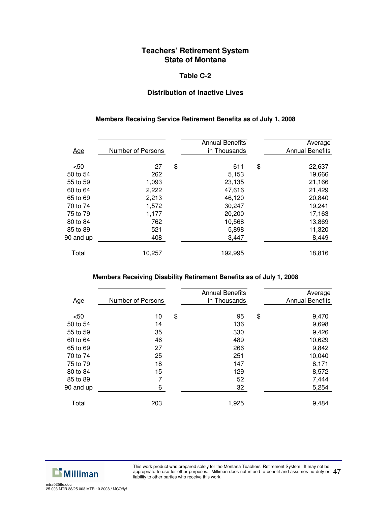#### **Table C-2**

#### **Distribution of Inactive Lives**

#### **Members Receiving Service Retirement Benefits as of July 1, 2008**

| <u>Age</u> | Number of Persons | <b>Annual Benefits</b><br>in Thousands | Average<br><b>Annual Benefits</b> |
|------------|-------------------|----------------------------------------|-----------------------------------|
|            |                   |                                        |                                   |
| < 50       | 27                | \$<br>611                              | \$<br>22,637                      |
| 50 to 54   | 262               | 5,153                                  | 19,666                            |
| 55 to 59   | 1,093             | 23,135                                 | 21,166                            |
| 60 to 64   | 2,222             | 47,616                                 | 21,429                            |
| 65 to 69   | 2,213             | 46,120                                 | 20,840                            |
| 70 to 74   | 1,572             | 30,247                                 | 19,241                            |
| 75 to 79   | 1,177             | 20,200                                 | 17,163                            |
| 80 to 84   | 762               | 10,568                                 | 13,869                            |
| 85 to 89   | 521               | 5,898                                  | 11,320                            |
| 90 and up  | 408               | 3,447                                  | 8,449                             |
|            |                   |                                        |                                   |
| Total      | 10,257            | 192,995                                | 18,816                            |

#### **Members Receiving Disability Retirement Benefits as of July 1, 2008**

| <u>Age</u> | Number of Persons | <b>Annual Benefits</b><br>in Thousands | Average<br><b>Annual Benefits</b> |
|------------|-------------------|----------------------------------------|-----------------------------------|
|            |                   |                                        |                                   |
| $50$       | 10                | \$<br>95                               | \$<br>9,470                       |
| 50 to 54   | 14                | 136                                    | 9,698                             |
| 55 to 59   | 35                | 330                                    | 9,426                             |
| 60 to 64   | 46                | 489                                    | 10,629                            |
| 65 to 69   | 27                | 266                                    | 9,842                             |
| 70 to 74   | 25                | 251                                    | 10,040                            |
| 75 to 79   | 18                | 147                                    | 8,171                             |
| 80 to 84   | 15                | 129                                    | 8,572                             |
| 85 to 89   | 7                 | 52                                     | 7,444                             |
| 90 and up  | 6                 | 32                                     | 5,254                             |
|            |                   |                                        |                                   |
| Total      | 203               | 1,925                                  | 9,484                             |
|            |                   |                                        |                                   |



This work product was prepared solely for the Montana Teachers' Retirement System. It may not be appropriate to use for other purposes. Milliman does not intend to benefit and assumes no duty or appropriate to use for other purposes. Milliman does not intend to benefit and assumes no duty or  $~47$  liability to other parties who receive this work.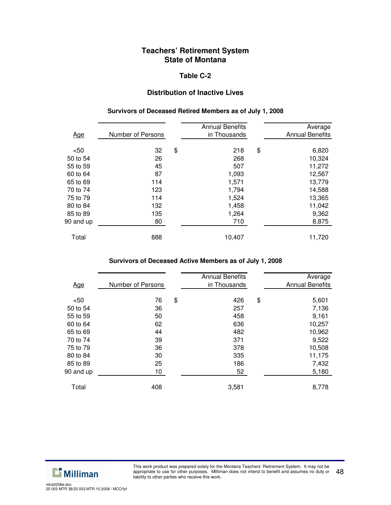#### **Table C-2**

#### **Distribution of Inactive Lives**

#### **Survivors of Deceased Retired Members as of July 1, 2008**

| <u>Age</u> | Number of Persons | <b>Annual Benefits</b><br>in Thousands | Average<br><b>Annual Benefits</b> |
|------------|-------------------|----------------------------------------|-----------------------------------|
| < 50       | 32                | \$<br>218                              | \$<br>6,820                       |
| 50 to 54   | 26                | 268                                    | 10,324                            |
| 55 to 59   | 45                | 507                                    | 11,272                            |
| 60 to 64   | 87                | 1,093                                  | 12,567                            |
| 65 to 69   | 114               | 1,571                                  | 13,779                            |
| 70 to 74   | 123               | 1,794                                  | 14,588                            |
| 75 to 79   | 114               | 1,524                                  | 13,365                            |
| 80 to 84   | 132               | 1,458                                  | 11,042                            |
| 85 to 89   | 135               | 1,264                                  | 9,362                             |
| 90 and up  | 80                | 710                                    | 8,875                             |
|            |                   |                                        |                                   |
| Total      | 888               | 10,407                                 | 11,720                            |

## **Survivors of Deceased Active Members as of July 1, 2008**

| <u>Age</u> | Number of Persons | <b>Annual Benefits</b><br>in Thousands | Average<br><b>Annual Benefits</b> |
|------------|-------------------|----------------------------------------|-----------------------------------|
|            |                   |                                        |                                   |
| $50$       | 76                | \$<br>426                              | \$<br>5,601                       |
| 50 to 54   | 36                | 257                                    | 7,136                             |
| 55 to 59   | 50                | 458                                    | 9,161                             |
| 60 to 64   | 62                | 636                                    | 10,257                            |
| 65 to 69   | 44                | 482                                    | 10,962                            |
| 70 to 74   | 39                | 371                                    | 9,522                             |
| 75 to 79   | 36                | 378                                    | 10,508                            |
| 80 to 84   | 30                | 335                                    | 11,175                            |
| 85 to 89   | 25                | 186                                    | 7,432                             |
| 90 and up  | 10                | 52                                     | 5,180                             |
|            |                   |                                        |                                   |
| Total      | 408               | 3,581                                  | 8,778                             |
|            |                   |                                        |                                   |

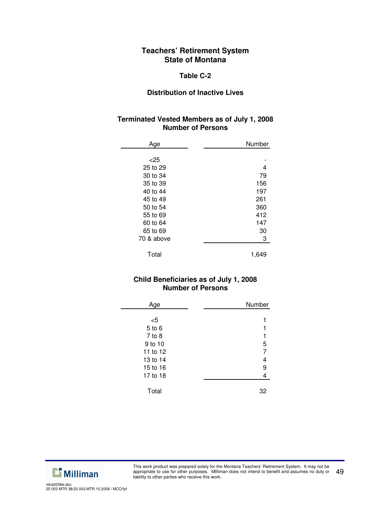#### **Table C-2**

#### **Distribution of Inactive Lives**

### **Terminated Vested Members as of July 1, 2008 Number of Persons**

| Age        | Number |
|------------|--------|
|            |        |
| $<$ 25     |        |
| 25 to 29   | 4      |
| 30 to 34   | 79     |
| 35 to 39   | 156    |
| 40 to 44   | 197    |
| 45 to 49   | 261    |
| 50 to 54   | 360    |
| 55 to 69   | 412    |
| 60 to 64   | 147    |
| 65 to 69   | 30     |
| 70 & above | 3      |
|            |        |
| Total      | 1,649  |

## **Child Beneficiaries as of July 1, 2008 Number of Persons**

| Age        | Number         |
|------------|----------------|
|            |                |
| $<$ 5      |                |
| 5 to 6     |                |
| $7$ to $8$ |                |
| 9 to 10    | 5              |
| 11 to 12   | $\overline{7}$ |
| 13 to 14   | 4              |
| 15 to 16   | 9              |
| 17 to 18   | 4              |
|            |                |
| Total      | 32             |



l,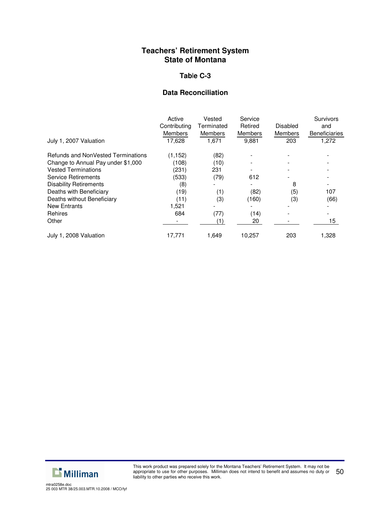#### **Tab**l**e C-3**

## **Data Reconciliation**

|                                           | Active<br>Contributing | Vested<br>Terminated | Service<br>Retired | Disabled       | Survivors<br>and     |
|-------------------------------------------|------------------------|----------------------|--------------------|----------------|----------------------|
|                                           | <b>Members</b>         | <b>Members</b>       | <b>Members</b>     | <b>Members</b> | <b>Beneficiaries</b> |
| July 1, 2007 Valuation                    | 17.628                 | 1.671                | 9,881              | 203            | 1,272                |
| <b>Refunds and NonVested Terminations</b> | (1.152)                | (82)                 |                    |                |                      |
| Change to Annual Pay under \$1,000        | (108)                  | (10)                 |                    |                |                      |
| <b>Vested Terminations</b>                | (231)                  | 231                  |                    |                |                      |
| <b>Service Retirements</b>                | (533)                  | (79)                 | 612                |                |                      |
| <b>Disability Retirements</b>             | (8)                    |                      |                    | 8              |                      |
| Deaths with Beneficiary                   | (19)                   | (1)                  | (82)               | (5)            | 107                  |
| Deaths without Beneficiary                | (11)                   | (3)                  | (160)              | (3)            | (66)                 |
| <b>New Entrants</b>                       | 1,521                  |                      |                    |                |                      |
| <b>Rehires</b>                            | 684                    | (77)                 | (14)               |                |                      |
| Other                                     |                        | (1)                  | 20                 |                | 15                   |
| July 1, 2008 Valuation                    | 17,771                 | 1,649                | 10.257             | 203            | 1,328                |

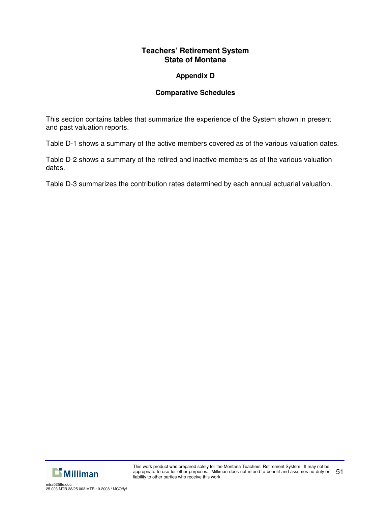## **Appendix D**

## **Comparative Schedules**

This section contains tables that summarize the experience of the System shown in present and past valuation reports.

Table D-1 shows a summary of the active members covered as of the various valuation dates.

Table D-2 shows a summary of the retired and inactive members as of the various valuation dates.

Table D-3 summarizes the contribution rates determined by each annual actuarial valuation.

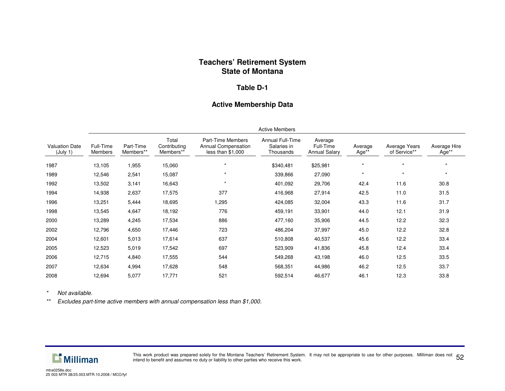#### **Table D-1**

#### **Active Membership Data**

|                                   | <b>Active Members</b> |                        |                                    |                                                               |                                              |                                              |                  |                               |                       |
|-----------------------------------|-----------------------|------------------------|------------------------------------|---------------------------------------------------------------|----------------------------------------------|----------------------------------------------|------------------|-------------------------------|-----------------------|
| <b>Valuation Date</b><br>(July 1) | Full-Time<br>Members  | Part-Time<br>Members** | Total<br>Contributing<br>Members** | Part-Time Members<br>Annual Compensation<br>less than \$1,000 | Annual Full-Time<br>Salaries in<br>Thousands | Average<br>Full-Time<br><b>Annual Salary</b> | Average<br>Age** | Average Years<br>of Service** | Average Hire<br>Age** |
| 1987                              | 13,105                | 1,955                  | 15,060                             | $\star$                                                       | \$340,481                                    | \$25,981                                     | $\star$          | $\star$                       | $\star$               |
| 1989                              | 12,546                | 2,541                  | 15,087                             | $\star$                                                       | 339,866                                      | 27,090                                       | $\star$          | $\star$                       | $\star$               |
| 1992                              | 13,502                | 3,141                  | 16,643                             | $\star$                                                       | 401,092                                      | 29,706                                       | 42.4             | 11.6                          | 30.8                  |
| 1994                              | 14,938                | 2,637                  | 17,575                             | 377                                                           | 416,968                                      | 27,914                                       | 42.5             | 11.0                          | 31.5                  |
| 1996                              | 13,251                | 5,444                  | 18,695                             | 1,295                                                         | 424,085                                      | 32,004                                       | 43.3             | 11.6                          | 31.7                  |
| 1998                              | 13,545                | 4,647                  | 18,192                             | 776                                                           | 459,191                                      | 33,901                                       | 44.0             | 12.1                          | 31.9                  |
| 2000                              | 13,289                | 4,245                  | 17,534                             | 886                                                           | 477,160                                      | 35,906                                       | 44.5             | 12.2                          | 32.3                  |
| 2002                              | 12,796                | 4,650                  | 17,446                             | 723                                                           | 486,204                                      | 37,997                                       | 45.0             | 12.2                          | 32.8                  |
| 2004                              | 12,601                | 5,013                  | 17,614                             | 637                                                           | 510,808                                      | 40,537                                       | 45.6             | 12.2                          | 33.4                  |
| 2005                              | 12,523                | 5,019                  | 17,542                             | 697                                                           | 523,909                                      | 41,836                                       | 45.8             | 12.4                          | 33.4                  |
| 2006                              | 12,715                | 4,840                  | 17,555                             | 544                                                           | 549,268                                      | 43,198                                       | 46.0             | 12.5                          | 33.5                  |
| 2007                              | 12,634                | 4,994                  | 17,628                             | 548                                                           | 568,351                                      | 44,986                                       | 46.2             | 12.5                          | 33.7                  |
| 2008                              | 12,694                | 5,077                  | 17,771                             | 521                                                           | 592,514                                      | 46,677                                       | 46.1             | 12.3                          | 33.8                  |

*\*Not available.*

*\*\*Excludes part-time active members with annual compensation less than \$1,000.*



This work product was prepared solely for the Montana Teachers' Retirement System. It may not be appropriate to use for other purposes. Milliman does not This work product was prepared solery for the Montana Teachers' Netriement System. It may not be appropriate to use for other purposes. Miliman does not 52 for the Montana of the Montana of the Montana of the Montana of th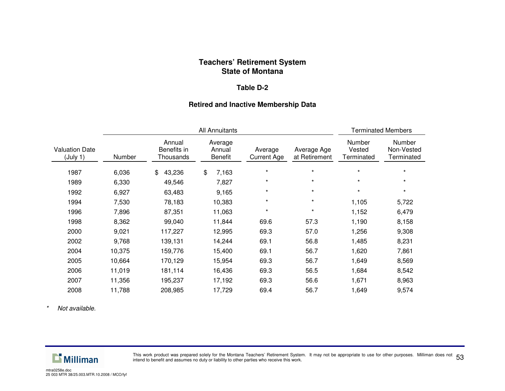#### **Table D-2**

#### **Retired and Inactive Membership Data**

|                                   |        |                                    | <b>Terminated Members</b>           |                               |                              |                                |                                    |
|-----------------------------------|--------|------------------------------------|-------------------------------------|-------------------------------|------------------------------|--------------------------------|------------------------------------|
| <b>Valuation Date</b><br>(July 1) | Number | Annual<br>Benefits in<br>Thousands | Average<br>Annual<br><b>Benefit</b> | Average<br><b>Current Age</b> | Average Age<br>at Retirement | Number<br>Vested<br>Terminated | Number<br>Non-Vested<br>Terminated |
| 1987                              | 6,036  | 43,236<br>\$                       | \$<br>7,163                         | $\star$                       | $\star$                      | $\star$                        | $\star$                            |
| 1989                              | 6,330  | 49,546                             | 7,827                               | $\star$                       | $\star$                      | $\star$                        | $\star$                            |
| 1992                              | 6,927  | 63,483                             | 9,165                               | $\star$                       | $\star$                      | $\star$                        | $\star$                            |
| 1994                              | 7,530  | 78,183                             | 10,383                              | $\star$                       | $\star$                      | 1,105                          | 5,722                              |
| 1996                              | 7,896  | 87,351                             | 11,063                              | $\star$                       | $\star$                      | 1,152                          | 6,479                              |
| 1998                              | 8,362  | 99,040                             | 11,844                              | 69.6                          | 57.3                         | 1,190                          | 8,158                              |
| 2000                              | 9,021  | 117,227                            | 12,995                              | 69.3                          | 57.0                         | 1,256                          | 9,308                              |
| 2002                              | 9,768  | 139,131                            | 14,244                              | 69.1                          | 56.8                         | 1,485                          | 8,231                              |
| 2004                              | 10,375 | 159,776                            | 15,400                              | 69.1                          | 56.7                         | 1,620                          | 7,861                              |
| 2005                              | 10,664 | 170,129                            | 15,954                              | 69.3                          | 56.7                         | 1,649                          | 8,569                              |
| 2006                              | 11,019 | 181,114                            | 16,436                              | 69.3                          | 56.5                         | 1,684                          | 8,542                              |
| 2007                              | 11,356 | 195,237                            | 17,192                              | 69.3                          | 56.6                         | 1,671                          | 8,963                              |
| 2008                              | 11,788 | 208,985                            | 17,729                              | 69.4                          | 56.7                         | 1,649                          | 9,574                              |

*\*Not available.*



This work product was prepared solely for the Montana Teachers' Retirement System. It may not be appropriate to use for other purposes. Milliman does not 53<br>intend to benefit and assumes no duty or liability to other parti intend to benefit and assumes no duty or liability to other parties who receive this work.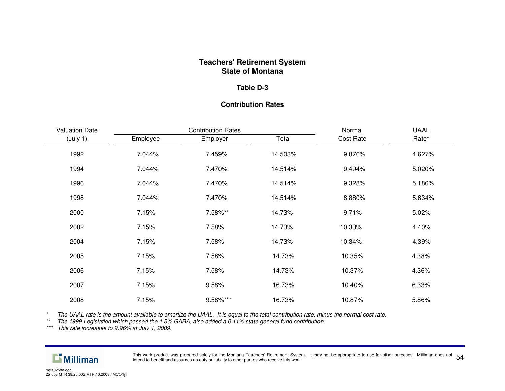#### **Table D-3**

## **Contribution Rates**

| <b>Valuation Date</b> |          | <b>Contribution Rates</b> | Normal  | <b>UAAL</b> |        |
|-----------------------|----------|---------------------------|---------|-------------|--------|
| (July 1)              | Employee | Employer                  | Total   | Cost Rate   | Rate*  |
| 1992                  | 7.044%   | 7.459%                    | 14.503% | 9.876%      | 4.627% |
| 1994                  | 7.044%   | 7.470%                    | 14.514% | 9.494%      | 5.020% |
| 1996                  | 7.044%   | 7.470%                    | 14.514% | 9.328%      | 5.186% |
| 1998                  | 7.044%   | 7.470%                    | 14.514% | 8.880%      | 5.634% |
| 2000                  | 7.15%    | 7.58%**                   | 14.73%  | 9.71%       | 5.02%  |
| 2002                  | 7.15%    | 7.58%                     | 14.73%  | 10.33%      | 4.40%  |
| 2004                  | 7.15%    | 7.58%                     | 14.73%  | 10.34%      | 4.39%  |
| 2005                  | 7.15%    | 7.58%                     | 14.73%  | 10.35%      | 4.38%  |
| 2006                  | 7.15%    | 7.58%                     | 14.73%  | 10.37%      | 4.36%  |
| 2007                  | 7.15%    | 9.58%                     | 16.73%  | 10.40%      | 6.33%  |
| 2008                  | 7.15%    | 9.58%***                  | 16.73%  | 10.87%      | 5.86%  |

*\**\* The UAAL rate is the amount available to amortize the UAAL. It is equal to the total contribution rate, minus the normal cost rate.

\*\* The 1999 Legislation which passed the 1.5% GABA, also added a 0.11% state general fund contribution.<br>\*\*\* This rate increases to 9.96% at July 1, 2009.



This work product was prepared solely for the Montana Teachers' Retirement System. It may not be appropriate to use for other purposes. Milliman does not This work product was prepared solery for the montana Teachers' Hetheritent System. It may not be approphate to use for other purposes. Milimitan does not 54 for the montana of the Montana of the Montana of the Montana of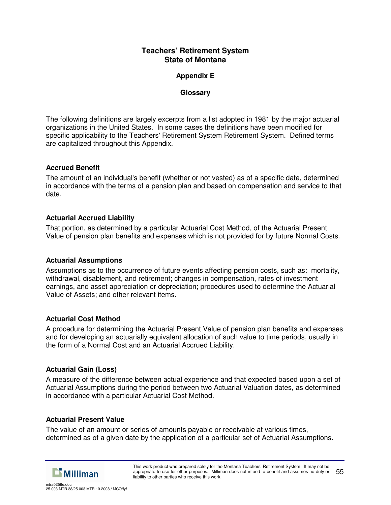## **Appendix E**

### **Glossary**

The following definitions are largely excerpts from a list adopted in 1981 by the major actuarial organizations in the United States. In some cases the definitions have been modified for specific applicability to the Teachers' Retirement System Retirement System. Defined terms are capitalized throughout this Appendix.

## **Accrued Benefit**

The amount of an individual's benefit (whether or not vested) as of a specific date, determined in accordance with the terms of a pension plan and based on compensation and service to that date.

## **Actuarial Accrued Liability**

That portion, as determined by a particular Actuarial Cost Method, of the Actuarial Present Value of pension plan benefits and expenses which is not provided for by future Normal Costs.

#### **Actuarial Assumptions**

Assumptions as to the occurrence of future events affecting pension costs, such as: mortality, withdrawal, disablement, and retirement; changes in compensation, rates of investment earnings, and asset appreciation or depreciation; procedures used to determine the Actuarial Value of Assets; and other relevant items.

## **Actuarial Cost Method**

A procedure for determining the Actuarial Present Value of pension plan benefits and expenses and for developing an actuarially equivalent allocation of such value to time periods, usually in the form of a Normal Cost and an Actuarial Accrued Liability.

## **Actuarial Gain (Loss)**

A measure of the difference between actual experience and that expected based upon a set of Actuarial Assumptions during the period between two Actuarial Valuation dates, as determined in accordance with a particular Actuarial Cost Method.

#### **Actuarial Present Value**

The value of an amount or series of amounts payable or receivable at various times, determined as of a given date by the application of a particular set of Actuarial Assumptions.

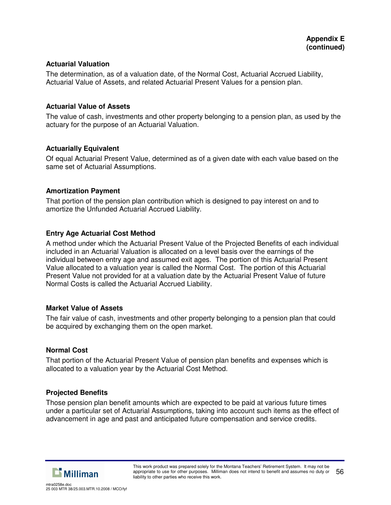#### **Actuarial Valuation**

The determination, as of a valuation date, of the Normal Cost, Actuarial Accrued Liability, Actuarial Value of Assets, and related Actuarial Present Values for a pension plan.

#### **Actuarial Value of Assets**

The value of cash, investments and other property belonging to a pension plan, as used by the actuary for the purpose of an Actuarial Valuation.

#### **Actuarially Equivalent**

Of equal Actuarial Present Value, determined as of a given date with each value based on the same set of Actuarial Assumptions.

#### **Amortization Payment**

That portion of the pension plan contribution which is designed to pay interest on and to amortize the Unfunded Actuarial Accrued Liability.

#### **Entry Age Actuarial Cost Method**

A method under which the Actuarial Present Value of the Projected Benefits of each individual included in an Actuarial Valuation is allocated on a level basis over the earnings of the individual between entry age and assumed exit ages. The portion of this Actuarial Present Value allocated to a valuation year is called the Normal Cost. The portion of this Actuarial Present Value not provided for at a valuation date by the Actuarial Present Value of future Normal Costs is called the Actuarial Accrued Liability.

#### **Market Value of Assets**

The fair value of cash, investments and other property belonging to a pension plan that could be acquired by exchanging them on the open market.

#### **Normal Cost**

That portion of the Actuarial Present Value of pension plan benefits and expenses which is allocated to a valuation year by the Actuarial Cost Method.

#### **Projected Benefits**

Those pension plan benefit amounts which are expected to be paid at various future times under a particular set of Actuarial Assumptions, taking into account such items as the effect of advancement in age and past and anticipated future compensation and service credits.



25 003 MTR 38/25.003.MTR.10.2008 / MCO/fyf

mtra0258e.doc

This work product was prepared solely for the Montana Teachers' Retirement System. It may not be